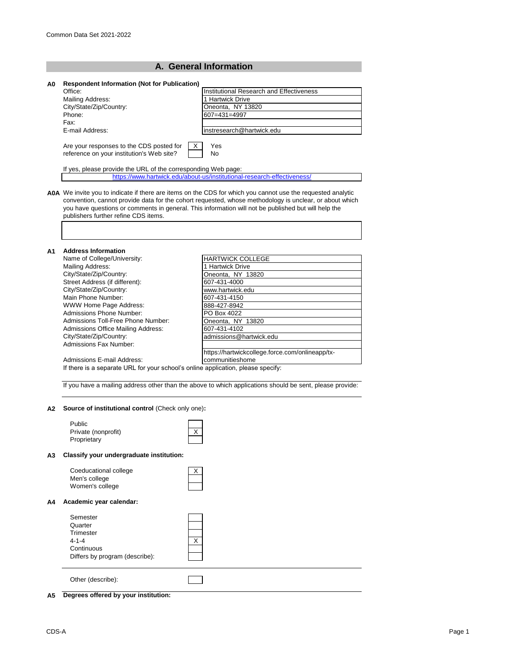| A0 | <b>Respondent Information (Not for Publication)</b>                                                                                                                                                                                                   |                                                                         |  |  |
|----|-------------------------------------------------------------------------------------------------------------------------------------------------------------------------------------------------------------------------------------------------------|-------------------------------------------------------------------------|--|--|
|    | Office:                                                                                                                                                                                                                                               | Institutional Research and Effectiveness                                |  |  |
|    | Mailing Address:                                                                                                                                                                                                                                      | 1 Hartwick Drive                                                        |  |  |
|    | City/State/Zip/Country:                                                                                                                                                                                                                               | Oneonta, NY 13820                                                       |  |  |
|    | Phone:                                                                                                                                                                                                                                                | 607=431=4997                                                            |  |  |
|    | Fax:                                                                                                                                                                                                                                                  |                                                                         |  |  |
|    | E-mail Address:                                                                                                                                                                                                                                       | instresearch@hartwick.edu                                               |  |  |
|    | Are your responses to the CDS posted for<br>reference on your institution's Web site?                                                                                                                                                                 | Yes<br>X<br>No                                                          |  |  |
|    |                                                                                                                                                                                                                                                       |                                                                         |  |  |
|    | If yes, please provide the URL of the corresponding Web page:                                                                                                                                                                                         |                                                                         |  |  |
|    |                                                                                                                                                                                                                                                       | https://www.hartwick.edu/about-us/institutional-research-effectiveness/ |  |  |
|    | convention, cannot provide data for the cohort requested, whose methodology is unclear, or about which<br>you have questions or comments in general. This information will not be published but will help the<br>publishers further refine CDS items. |                                                                         |  |  |
|    |                                                                                                                                                                                                                                                       |                                                                         |  |  |
|    |                                                                                                                                                                                                                                                       |                                                                         |  |  |
|    | <b>Address Information</b>                                                                                                                                                                                                                            |                                                                         |  |  |
|    | Name of College/University:                                                                                                                                                                                                                           | <b>HARTWICK COLLEGE</b>                                                 |  |  |
|    | Mailing Address:                                                                                                                                                                                                                                      | 1 Hartwick Drive                                                        |  |  |
|    | City/State/Zip/Country:                                                                                                                                                                                                                               | Oneonta, NY 13820                                                       |  |  |
|    | Street Address (if different):                                                                                                                                                                                                                        | 607-431-4000                                                            |  |  |
|    | City/State/Zip/Country:                                                                                                                                                                                                                               | www.hartwick.edu                                                        |  |  |
|    | Main Phone Number:                                                                                                                                                                                                                                    | 607-431-4150                                                            |  |  |
|    | WWW Home Page Address:<br><b>Admissions Phone Number:</b>                                                                                                                                                                                             | 888-427-8942                                                            |  |  |
|    | Admissions Toll-Free Phone Number:                                                                                                                                                                                                                    | PO Box 4022                                                             |  |  |
|    | Admissions Office Mailing Address:                                                                                                                                                                                                                    | Oneonta, NY 13820                                                       |  |  |
|    | City/State/Zip/Country:                                                                                                                                                                                                                               | 607-431-4102<br>admissions@hartwick.edu                                 |  |  |
|    | Admissions Fax Number:                                                                                                                                                                                                                                |                                                                         |  |  |
|    |                                                                                                                                                                                                                                                       | https://hartwickcollege.force.com/onlineapp/tx-                         |  |  |
|    | Admissions E-mail Address:                                                                                                                                                                                                                            | communitieshome                                                         |  |  |
| A1 | If there is a separate URL for your school's online application, please specify:                                                                                                                                                                      |                                                                         |  |  |

#### **A2 Source of institutional control** (Check only one)**:**

|    | Public<br>Private (nonprofit)<br>Proprietary                                                    | X |
|----|-------------------------------------------------------------------------------------------------|---|
| A3 | Classify your undergraduate institution:                                                        |   |
|    | Coeducational college<br>Men's college<br>Women's college                                       | X |
| A4 | Academic year calendar:                                                                         |   |
|    | Semester<br>Quarter<br>Trimester<br>$4 - 1 - 4$<br>Continuous<br>Differs by program (describe): | X |
|    | Other (describe):                                                                               |   |

# **A5 Degrees offered by your institution:**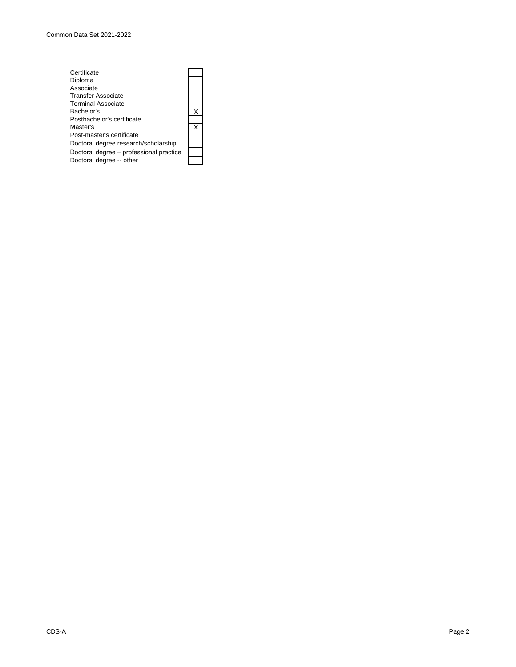| Certificate                             |   |
|-----------------------------------------|---|
| Diploma                                 |   |
| Associate                               |   |
| <b>Transfer Associate</b>               |   |
| <b>Terminal Associate</b>               |   |
| Bachelor's                              | x |
| Postbachelor's certificate              |   |
| Master's                                | x |
| Post-master's certificate               |   |
| Doctoral degree research/scholarship    |   |
| Doctoral degree - professional practice |   |
| Doctoral degree -- other                |   |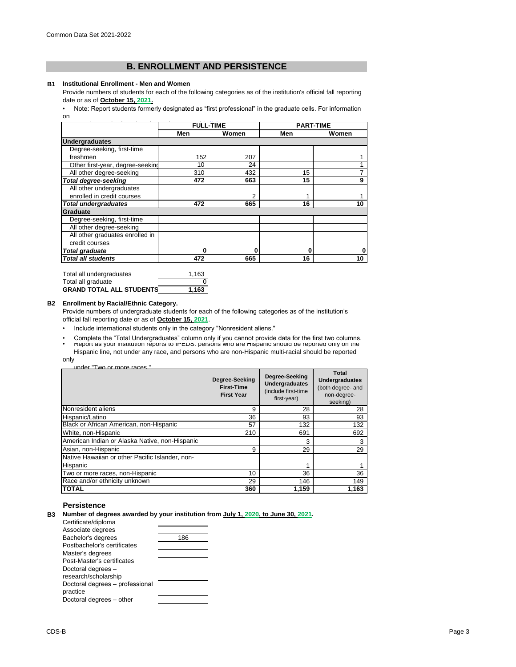# **B. ENROLLMENT AND PERSISTENCE**

#### **B1 Institutional Enrollment - Men and Women**

Provide numbers of students for each of the following categories as of the institution's official fall reporting date or as of **October 15, 2021.**

[• Note: Report students formerl](https://nces.ed.gov/ipeds/pdf/Reporting_Study_Abroad Students_5.31.17.pdf)y designated as "first professional" in the graduate cells. For information [on](https://nces.ed.gov/ipeds/pdf/Reporting_Study_Abroad Students_5.31.17.pdf) 

|                                  | <b>FULL-TIME</b> |       |    | <b>PART-TIME</b> |
|----------------------------------|------------------|-------|----|------------------|
|                                  | Men              | Women |    | Women            |
| <b>Undergraduates</b>            |                  |       |    |                  |
| Degree-seeking, first-time       |                  |       |    |                  |
| freshmen                         | 152              | 207   |    |                  |
| Other first-year, degree-seeking | 10               | 24    |    |                  |
| All other degree-seeking         | 310              | 432   | 15 |                  |
| <b>Total degree-seeking</b>      | 472              | 663   | 15 | 9                |
| All other undergraduates         |                  |       |    |                  |
| enrolled in credit courses       |                  | 2     | 1  |                  |
| <b>Total undergraduates</b>      | 472              | 665   | 16 | 10               |
| Graduate                         |                  |       |    |                  |
| Degree-seeking, first-time       |                  |       |    |                  |
| All other degree-seeking         |                  |       |    |                  |
| All other graduates enrolled in  |                  |       |    |                  |
| credit courses                   |                  |       |    |                  |
| <b>Total graduate</b>            | 0                | 0     | 0  | 0                |
| <b>Total all students</b>        | 472              | 665   | 16 | 10               |

| Total all undergraduates        | 1.163 |
|---------------------------------|-------|
| Total all graduate              | n     |
| <b>GRAND TOTAL ALL STUDENTS</b> | 1.163 |

#### **B2 Enrollment by Racial/Ethnic Category.**

Provide numbers of undergraduate students for each of the following categories as of the institution's official fall reporting date or as of **October 15, 2021**.

- Include international students only in the category "Nonresident aliens."
- Complete the "Total Undergraduates" column only if you cannot provide data for the first two columns.<br>• report as your institution reports to iPEDS: persons who are Hispanic snould be reported only on the Hispanic line, not under any race, and persons who are non-Hispanic multi-racial should be reported

only

| under "Two or more races" |  |  |  |
|---------------------------|--|--|--|
|                           |  |  |  |

|                                                 | Degree-Seeking<br><b>First-Time</b><br><b>First Year</b> | Degree-Seeking<br><b>Undergraduates</b><br>(include first-time<br>first-year) | Total<br><b>Undergraduates</b><br>(both degree- and<br>non-degree-<br>seeking) |
|-------------------------------------------------|----------------------------------------------------------|-------------------------------------------------------------------------------|--------------------------------------------------------------------------------|
| Nonresident aliens                              | 9                                                        | 28                                                                            | 28                                                                             |
| Hispanic/Latino                                 | 36                                                       | 93                                                                            | 93                                                                             |
| Black or African American, non-Hispanic         | 57                                                       | 132                                                                           | 132                                                                            |
| White, non-Hispanic                             | 210                                                      | 691                                                                           | 692                                                                            |
| American Indian or Alaska Native, non-Hispanic  |                                                          | 3                                                                             | 3                                                                              |
| Asian, non-Hispanic                             | 9                                                        | 29                                                                            | 29                                                                             |
| Native Hawaiian or other Pacific Islander, non- |                                                          |                                                                               |                                                                                |
| Hispanic                                        |                                                          | 1                                                                             |                                                                                |
| Two or more races, non-Hispanic                 | 10                                                       | 36                                                                            | 36                                                                             |
| Race and/or ethnicity unknown                   | 29                                                       | 146                                                                           | 149                                                                            |
| <b>TOTAL</b>                                    | 360                                                      | 1.159                                                                         | 1,163                                                                          |

# **Persistence**

|  | B3 Number of degrees awarded by your institution from July 1, 2020, to June 30, 2021. |  |  |  |  |  |  |
|--|---------------------------------------------------------------------------------------|--|--|--|--|--|--|
|--|---------------------------------------------------------------------------------------|--|--|--|--|--|--|

Certificate/diploma Associate degrees Bachelor's degrees 186 Postbachelor's certificates Master's degrees Post-Master's certificates Doctoral degrees – research/scholarship Doctoral degrees – professional practice Doctoral degrees – other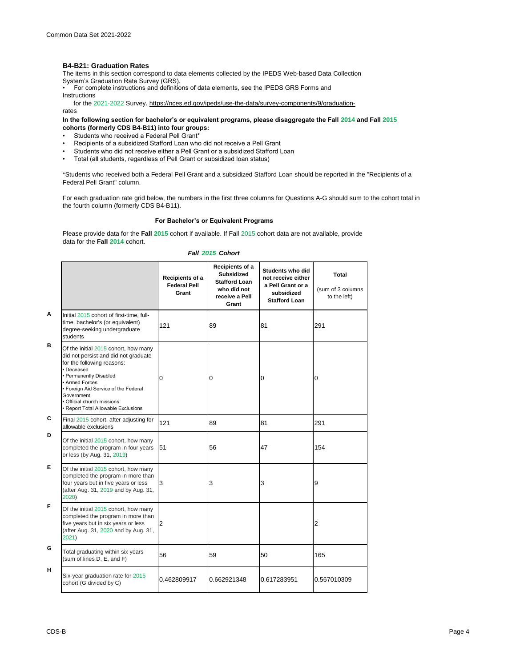# **B4-B21: Graduation Rates**

The items in this section correspond to data elements collected by the IPEDS Web-based Data Collection

System's Graduation Rate Survey (GRS).<br>• For complete instructions and definitions of data elements, see the IPEDS GRS Forms and .

Instructions

 for the 2021-2022 Survey. https://nces.ed.gov/ipeds/use-the-data/survey-components/9/graduationrates

### **In the following section for bachelor's or equivalent programs, please disaggregate the Fall 2014 and Fall 2015 cohorts (formerly CDS B4-B11) into four groups:**

- Students who received a Federal Pell Grant\*
- Recipients of a subsidized Stafford Loan who did not receive a Pell Grant
- Students who did not receive either a Pell Grant or a subsidized Stafford Loan
- Total (all students, regardless of Pell Grant or subsidized loan status)

\*Students who received both a Federal Pell Grant and a subsidized Stafford Loan should be reported in the "Recipients of a Federal Pell Grant" column.

For each graduation rate grid below, the numbers in the first three columns for Questions A-G should sum to the cohort total in the fourth column (formerly CDS B4-B11).

### **For Bachelor's or Equivalent Programs**

Please provide data for the **Fall 2015** cohort if available. If Fall 2015 cohort data are not available, provide data for the **Fall 2014** cohort.

| Fall 2015 Cohort |
|------------------|
| Recipients of a  |

|   |                                                                                                                                                                                                                                                                                                 | Recipients of a<br><b>Federal Pell</b><br>Grant | Recipients of a<br><b>Subsidized</b><br><b>Stafford Loan</b><br>who did not<br>receive a Pell<br>Grant | Students who did<br>not receive either<br>a Pell Grant or a<br>subsidized<br><b>Stafford Loan</b> | Total<br>(sum of 3 columns<br>to the left) |
|---|-------------------------------------------------------------------------------------------------------------------------------------------------------------------------------------------------------------------------------------------------------------------------------------------------|-------------------------------------------------|--------------------------------------------------------------------------------------------------------|---------------------------------------------------------------------------------------------------|--------------------------------------------|
| A | Initial 2015 cohort of first-time, full-<br>time, bachelor's (or equivalent)<br>degree-seeking undergraduate<br>students                                                                                                                                                                        | 121                                             | 89                                                                                                     | 81                                                                                                | 291                                        |
| в | Of the initial 2015 cohort, how many<br>did not persist and did not graduate<br>for the following reasons:<br>• Deceased<br>• Permanently Disabled<br>• Armed Forces<br>• Foreign Aid Service of the Federal<br>Government<br>• Official church missions<br>• Report Total Allowable Exclusions | $\Omega$                                        | 0                                                                                                      | 0                                                                                                 | 0                                          |
| C | Final 2015 cohort, after adjusting for<br>allowable exclusions                                                                                                                                                                                                                                  | 121                                             | 89                                                                                                     | 81                                                                                                | 291                                        |
| D | Of the initial 2015 cohort, how many<br>completed the program in four years<br>or less (by Aug. 31, 2019)                                                                                                                                                                                       | 51                                              | 56                                                                                                     | 47                                                                                                | 154                                        |
| Е | Of the initial 2015 cohort, how many<br>completed the program in more than<br>four years but in five years or less<br>(after Aug. 31, 2019 and by Aug. 31,<br>2020)                                                                                                                             | 3                                               | 3                                                                                                      | 3                                                                                                 | 9                                          |
| F | Of the initial 2015 cohort, how many<br>completed the program in more than<br>five years but in six years or less<br>(after Aug. 31, 2020 and by Aug. 31,<br>2021)                                                                                                                              | 2                                               |                                                                                                        |                                                                                                   | $\overline{2}$                             |
| G | Total graduating within six years<br>(sum of lines D, E, and F)                                                                                                                                                                                                                                 | 56                                              | 59                                                                                                     | 50                                                                                                | 165                                        |
| н | Six-year graduation rate for 2015<br>cohort (G divided by C)                                                                                                                                                                                                                                    | 0.462809917                                     | 0.662921348                                                                                            | 0.617283951                                                                                       | 0.567010309                                |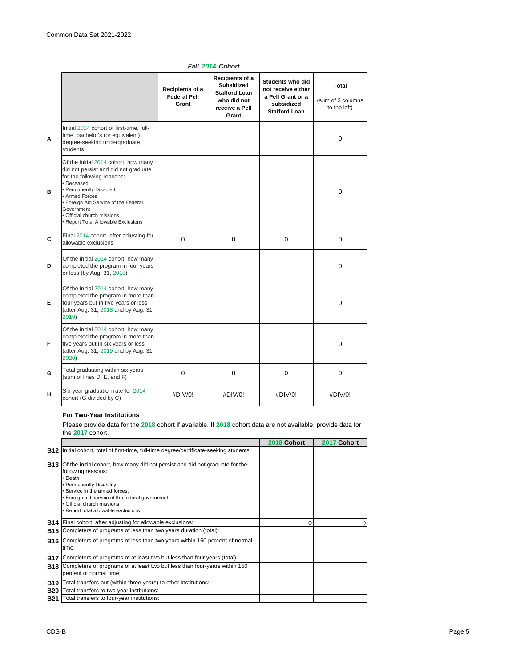|   |                                                                                                                                                                                                                                                                                                 | Recipients of a<br><b>Federal Pell</b><br>Grant | Recipients of a<br><b>Subsidized</b><br><b>Stafford Loan</b><br>who did not<br>receive a Pell<br>Grant | Students who did<br>not receive either<br>a Pell Grant or a<br>subsidized<br><b>Stafford Loan</b> | Total<br>(sum of 3 columns<br>to the left) |
|---|-------------------------------------------------------------------------------------------------------------------------------------------------------------------------------------------------------------------------------------------------------------------------------------------------|-------------------------------------------------|--------------------------------------------------------------------------------------------------------|---------------------------------------------------------------------------------------------------|--------------------------------------------|
| A | Initial 2014 cohort of first-time, full-<br>time, bachelor's (or equivalent)<br>degree-seeking undergraduate<br>students                                                                                                                                                                        |                                                 |                                                                                                        |                                                                                                   | $\Omega$                                   |
| в | Of the initial 2014 cohort, how many<br>did not persist and did not graduate<br>for the following reasons:<br>• Deceased<br>• Permanently Disabled<br>• Armed Forces<br>• Foreign Aid Service of the Federal<br>Government<br>· Official church missions<br>· Report Total Allowable Exclusions |                                                 |                                                                                                        |                                                                                                   | $\mathbf 0$                                |
| C | Final 2014 cohort, after adjusting for<br>allowable exclusions                                                                                                                                                                                                                                  | $\Omega$                                        | $\Omega$                                                                                               | $\Omega$                                                                                          | $\Omega$                                   |
| D | Of the initial 2014 cohort, how many<br>completed the program in four years<br>or less (by Aug. 31, 2018)                                                                                                                                                                                       |                                                 |                                                                                                        |                                                                                                   | $\Omega$                                   |
| Е | Of the initial 2014 cohort, how many<br>completed the program in more than<br>four years but in five years or less<br>(after Aug. 31, 2018 and by Aug. 31,<br>2019)                                                                                                                             |                                                 |                                                                                                        |                                                                                                   | $\mathbf 0$                                |
| F | Of the initial 2014 cohort, how many<br>completed the program in more than<br>five years but in six years or less<br>(after Aug. 31, 2019 and by Aug. 31,<br>2020)                                                                                                                              |                                                 |                                                                                                        |                                                                                                   | $\mathbf 0$                                |
| G | Total graduating within six years<br>(sum of lines D, E, and F)                                                                                                                                                                                                                                 | 0                                               | 0                                                                                                      | $\mathbf 0$                                                                                       | $\mathbf 0$                                |
| н | Six-year graduation rate for 2014<br>cohort (G divided by C)                                                                                                                                                                                                                                    | #DIV/0!                                         | #DIV/0!                                                                                                | #DIV/0!                                                                                           | #DIV/0!                                    |

# *Fall 2014 Cohort*

### **For Two-Year Institutions**

Please provide data for the **2018** cohort if available. If **2018** cohort data are not available, provide data for the **2017** cohort.

|            |                                                                                                                                                                                                                                                                                                                | 2018 Cohort | 2017 Cohort |
|------------|----------------------------------------------------------------------------------------------------------------------------------------------------------------------------------------------------------------------------------------------------------------------------------------------------------------|-------------|-------------|
| <b>B12</b> | Initial cohort, total of first-time, full-time degree/certificate-seeking students:                                                                                                                                                                                                                            |             |             |
|            | <b>B13</b> Of the initial cohort, how many did not persist and did not graduate for the<br>following reasons:<br>• Death<br>• Permanently Disability<br>· Service in the armed forces.<br>• Foreign aid service of the federal government<br>• Official church missions<br>· Report total allowable exclusions |             |             |
|            | <b>B14</b> Final cohort, after adjusting for allowable exclusions:                                                                                                                                                                                                                                             | 0           | $\Omega$    |
| <b>B15</b> | Completers of programs of less than two years duration (total):                                                                                                                                                                                                                                                |             |             |
|            | <b>B16</b> Completers of programs of less than two years within 150 percent of normal<br>time:                                                                                                                                                                                                                 |             |             |
| B17        | Completers of programs of at least two but less than four years (total):                                                                                                                                                                                                                                       |             |             |
|            | <b>B18</b> Completers of programs of at least two but less than four-years within 150<br>percent of normal time:                                                                                                                                                                                               |             |             |
| B19        | Total transfers-out (within three years) to other institutions:                                                                                                                                                                                                                                                |             |             |
| <b>B20</b> | Total transfers to two-year institutions:                                                                                                                                                                                                                                                                      |             |             |
| <b>B21</b> | Total transfers to four-year institutions:                                                                                                                                                                                                                                                                     |             |             |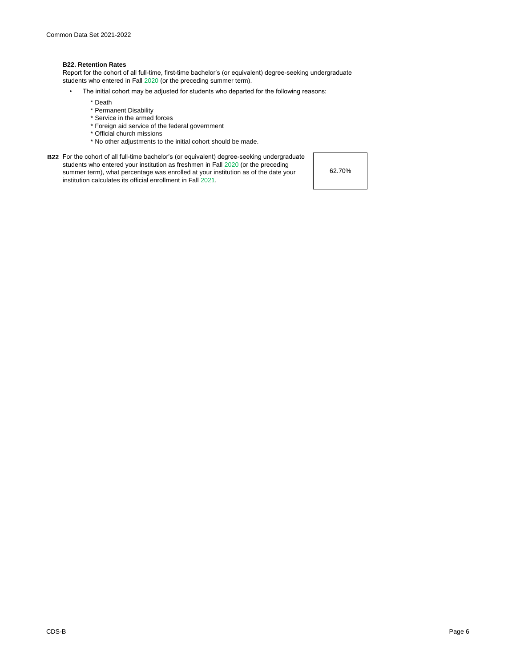### **B22. Retention Rates**

Report for the cohort of all full-time, first-time bachelor's (or equivalent) degree-seeking undergraduate students who entered in Fall 2020 (or the preceding summer term).

- The initial cohort may be adjusted for students who departed for the following reasons:
	- \* Death
	- \* Permanent Disability
	- \* Service in the armed forces
	- \* Foreign aid service of the federal government
	- \* Official church missions
	- \* No other adjustments to the initial cohort should be made.
- **B22** For the cohort of all full-time bachelor's (or equivalent) degree-seeking undergraduate students who entered your institution as freshmen in Fall 2020 (or the preceding summer term), what percentage was enrolled at your institution as of the date your institution calculates its official enrollment in Fall 2021.

62.70%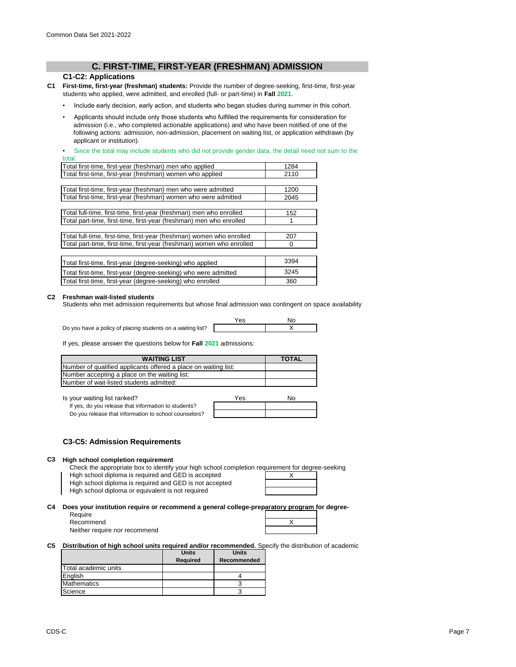# **C. FIRST-TIME, FIRST-YEAR (FRESHMAN) ADMISSION**

# **C1-C2: Applications**

- **C1 First-time, first-year (freshman) students:** Provide the number of degree-seeking, first-time, first-year students who applied, were admitted, and enrolled (full- or part-time) in **Fall 2021**.
	- Include early decision, early action, and students who began studies during summer in this cohort.
	- Applicants should include only those students who fulfilled the requirements for consideration for admission (i.e., who completed actionable applications) and who have been notified of one of the following actions: admission, non-admission, placement on waiting list, or application withdrawn (by applicant or institution).

Since the total may include students who did not provide gender data, the detail need not sum to the total.

| Total first-time, first-year (freshman) men who applied               | 1284 |
|-----------------------------------------------------------------------|------|
| Total first-time, first-year (freshman) women who applied             | 2110 |
|                                                                       |      |
| Total first-time, first-year (freshman) men who were admitted         | 1200 |
| Total first-time, first-year (freshman) women who were admitted       | 2045 |
|                                                                       |      |
| Total full-time, first-time, first-year (freshman) men who enrolled   | 152  |
| Total part-time, first-time, first-year (freshman) men who enrolled   |      |
|                                                                       |      |
| Total full-time, first-time, first-year (freshman) women who enrolled | 207  |
| Total part-time, first-time, first-year (freshman) women who enrolled | 0    |
|                                                                       |      |
| Total first-time, first-year (degree-seeking) who applied             | 3394 |
| Total first-time, first-year (degree-seeking) who were admitted       | 3245 |
| Total first-time, first-year (degree-seeking) who enrolled            | 360  |

### **C2 Freshman wait-listed students**

Students who met admission requirements but whose final admission was contingent on space availability

Do you have a policy of placing students on a waiting list?

| Yes | No |
|-----|----|
|     |    |

If yes, please answer the questions below for **Fall 2021** admissions:

| <b>WAITING LIST</b>                                             | <b>TOTAL</b> |
|-----------------------------------------------------------------|--------------|
| Number of qualified applicants offered a place on waiting list: |              |
| Number accepting a place on the waiting list:                   |              |
| Number of wait-listed students admitted:                        |              |

Is your waiting list ranked?

If yes, do you release that information to students? Do you release that information to school counselors?

| Yes | No |
|-----|----|
|     |    |
|     |    |

# **C3-C5: Admission Requirements**

#### **C3 High school completion requirement**

Check the appropriate box to identify your high school completion requirement for degree-seeking

High school diploma is required and GED is accepted

High school diploma is required and GED is not accepted

High school diploma or equivalent is not required

|  | the control of the control of |  |
|--|-------------------------------|--|
|  | Χ                             |  |
|  |                               |  |
|  |                               |  |
|  |                               |  |

#### **C4 Does your institution require or recommend a general college-preparatory program for degree-**

| Require   |  |
|-----------|--|
| Recommend |  |

Neither require nor recommend

| X |  |
|---|--|
|   |  |
|   |  |

**C5 Distribution of high school units required and/or recommended.** Specify the distribution of academic

|                      | <b>Units</b> | <b>Units</b> |
|----------------------|--------------|--------------|
|                      | Required     | Recommended  |
| Total academic units |              |              |
| English              |              |              |
| <b>Mathematics</b>   |              |              |
| Science              |              |              |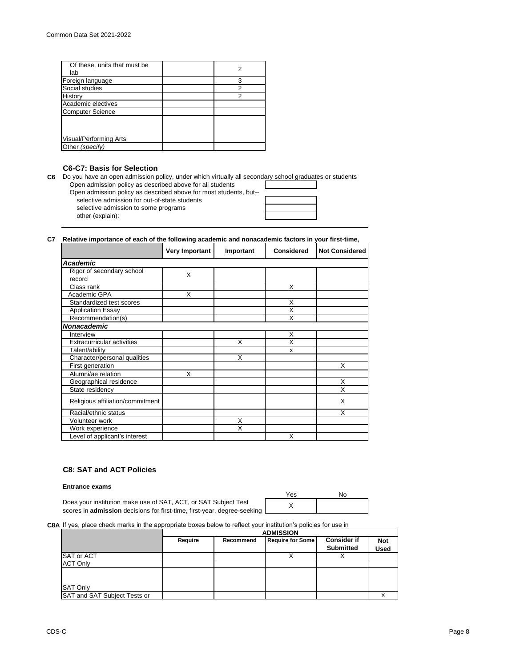| Of these, units that must be<br>lab |   |
|-------------------------------------|---|
| Foreign language                    | 3 |
| Social studies                      | 2 |
|                                     |   |
| History                             | 2 |
| Academic electives                  |   |
| <b>Computer Science</b>             |   |
|                                     |   |
| Visual/Performing Arts              |   |
| Other (specify)                     |   |
|                                     |   |

# **C6-C7: Basis for Selection**

**C6** Do you have an open admission policy, under which virtually all secondary school graduates or students Open admission policy as described above for all students

other (explain): Open admission policy as described above for most students, but- selective admission for out-of-state students selective admission to some programs

| a a shekara |  |
|-------------|--|
|             |  |
|             |  |
|             |  |

#### **C7 Relative importance of each of the following academic and nonacademic factors in your first-time,**

|                                     | <b>Very Important</b> | Important | <b>Considered</b> | <b>Not Considered</b> |
|-------------------------------------|-----------------------|-----------|-------------------|-----------------------|
| Academic                            |                       |           |                   |                       |
| Rigor of secondary school<br>record | X                     |           |                   |                       |
| Class rank                          |                       |           | X                 |                       |
| Academic GPA                        | X                     |           |                   |                       |
| Standardized test scores            |                       |           | X                 |                       |
| <b>Application Essay</b>            |                       |           | X                 |                       |
| Recommendation(s)                   |                       |           | X                 |                       |
| <b>Nonacademic</b>                  |                       |           |                   |                       |
| Interview                           |                       |           | X                 |                       |
| <b>Extracurricular activities</b>   |                       | X         | X                 |                       |
| Talent/ability                      |                       |           | x                 |                       |
| Character/personal qualities        |                       | X         |                   |                       |
| First generation                    |                       |           |                   | X                     |
| Alumni/ae relation                  | X                     |           |                   |                       |
| Geographical residence              |                       |           |                   | X                     |
| State residency                     |                       |           |                   | X                     |
| Religious affiliation/commitment    |                       |           |                   | X                     |
| Racial/ethnic status                |                       |           |                   | X                     |
| Volunteer work                      |                       | X         |                   |                       |
| Work experience                     |                       | X         |                   |                       |
| Level of applicant's interest       |                       |           | X                 |                       |

# **C8: SAT and ACT Policies**

### **Entrance exams**

|                                                                                   | Yes | No |
|-----------------------------------------------------------------------------------|-----|----|
| Does your institution make use of SAT, ACT, or SAT Subject Test                   |     |    |
| scores in <b>admission</b> decisions for first-time, first-vear, degree-seeking I |     |    |

#### **C8A** If yes, place check marks in the appropriate boxes below to reflect your institution's policies for use in

|                              | <b>ADMISSION</b> |           |                         |                    |             |
|------------------------------|------------------|-----------|-------------------------|--------------------|-------------|
|                              | Require          | Recommend | <b>Require for Some</b> | <b>Consider if</b> | <b>Not</b>  |
|                              |                  |           |                         | <b>Submitted</b>   | <b>Used</b> |
| <b>SAT or ACT</b>            |                  |           |                         |                    |             |
| <b>ACT Only</b>              |                  |           |                         |                    |             |
|                              |                  |           |                         |                    |             |
|                              |                  |           |                         |                    |             |
| <b>SAT Only</b>              |                  |           |                         |                    |             |
| SAT and SAT Subject Tests or |                  |           |                         |                    |             |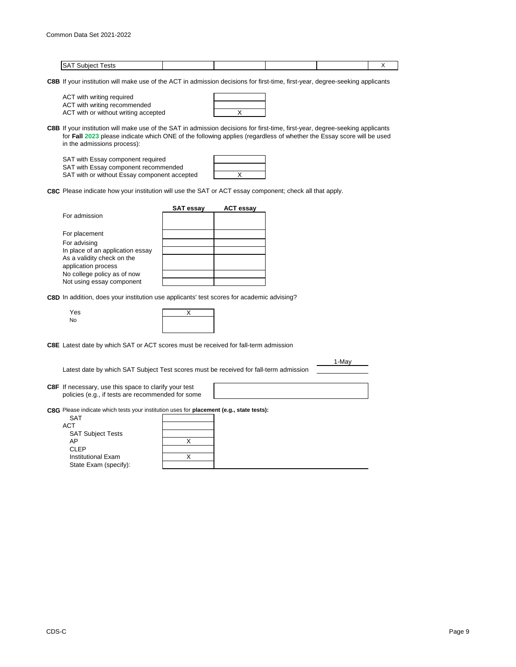| יי<br> |  |  |  |
|--------|--|--|--|

**C8B** If your institution will make use of the ACT in admission decisions for first-time, first-year, degree-seeking applicants

| ACT with writing required    |  |
|------------------------------|--|
| ACT with writing recommended |  |

ACT with or without writing accepted X

| C8B If your institution will make use of the SAT in admission decisions for first-time, first-year, degree-seeking applicants |
|-------------------------------------------------------------------------------------------------------------------------------|
| for Fall 2023 please indicate which ONE of the following applies (regardless of whether the Essay score will be used          |
| in the admissions process):                                                                                                   |

| SAT with Essay component required            |  |
|----------------------------------------------|--|
| SAT with Essay component recommended         |  |
| SAT with or without Essay component accepted |  |

**C8C** Please indicate how your institution will use the SAT or ACT essay component; check all that apply.

|                                                   | <b>SAT essay</b> | <b>ACT essay</b> |
|---------------------------------------------------|------------------|------------------|
| For admission                                     |                  |                  |
| For placement                                     |                  |                  |
| For advising                                      |                  |                  |
| In place of an application essay                  |                  |                  |
| As a validity check on the<br>application process |                  |                  |
| No college policy as of now                       |                  |                  |
| Not using essay component                         |                  |                  |

**C8D** In addition, does your institution use applicants' test scores for academic advising?

| $\sim$<br>v<br>۰. |  |
|-------------------|--|
|                   |  |

| Yes |  |
|-----|--|
| No  |  |
|     |  |

**C8E** Latest date by which SAT or ACT scores must be received for fall-term admission

Latest date by which SAT Subject Test scores must be received for fall-term admission

1-May

- **C8F** If necessary, use this space to clarify your test policies (e.g., if tests are recommended for some
- **C8G** Please indicate which tests your institution uses for **placement (e.g., state tests):**

| <b>SAT</b>               |  |
|--------------------------|--|
| ACT                      |  |
| <b>SAT Subject Tests</b> |  |
| AP                       |  |
| <b>CLEP</b>              |  |
| Institutional Exam       |  |
| State Exam (specify):    |  |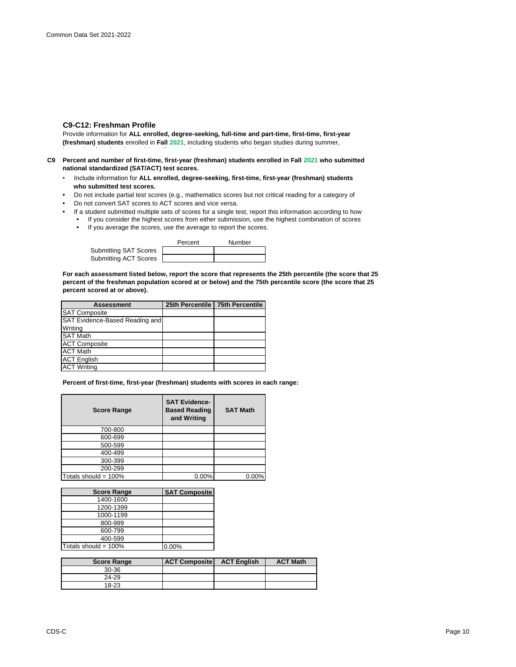# **C9-C12: Freshman Profile**

Provide information for **ALL enrolled, degree-seeking, full-time and part-time, first-time, first-year (freshman) students** enrolled in **Fall 2021**, including students who began studies during summer, international students/nonresident aliens, and students admitted under special arrangements.

- **C9 Percent and number of first-time, first-year (freshman) students enrolled in Fall 2021 who submitted national standardized (SAT/ACT) test scores.**
	- Include information for **ALL enrolled, degree-seeking, first-time, first-year (freshman) students who submitted test scores.**
	- Do not include partial test scores (e.g., mathematics scores but not critical reading for a category of
	- Do not convert SAT scores to ACT scores and vice versa.
	- If a student submitted multiple sets of scores for a single test, report this information according to how **•** If you consider the highest scores from either submission, use the highest combination of scores
		- If you average the scores, use the average to report the scores.

|                       | Percent | Number |  |
|-----------------------|---------|--------|--|
| Submitting SAT Scores |         |        |  |
| Submitting ACT Scores |         |        |  |

**For each assessment listed below, report the score that represents the 25th percentile (the score that 25 percent of the freshman population scored at or below) and the 75th percentile score (the score that 25 percent scored at or above).**

| <b>Assessment</b>              | 25th Percentile   75th Percentile |
|--------------------------------|-----------------------------------|
| <b>SAT Composite</b>           |                                   |
| SAT Evidence-Based Reading and |                                   |
| Writing                        |                                   |
| <b>SAT Math</b>                |                                   |
| <b>ACT Composite</b>           |                                   |
| <b>ACT Math</b>                |                                   |
| <b>ACT English</b>             |                                   |
| <b>ACT Writing</b>             |                                   |

**Percent of first-time, first-year (freshman) students with scores in each range:**

| <b>Score Range</b>   | <b>SAT Evidence-</b><br><b>Based Reading</b><br>and Writing | <b>SAT Math</b> |
|----------------------|-------------------------------------------------------------|-----------------|
| 700-800              |                                                             |                 |
| 600-699              |                                                             |                 |
| 500-599              |                                                             |                 |
| 400-499              |                                                             |                 |
| 300-399              |                                                             |                 |
| 200-299              |                                                             |                 |
| Totals should = 100% | 0.00%                                                       | 0.00%           |

| <b>Score Range</b>      | <b>SAT Composite</b> |
|-------------------------|----------------------|
| 1400-1600               |                      |
| 1200-1399               |                      |
| 1000-1199               |                      |
| 800-999                 |                      |
| 600-799                 |                      |
| 400-599                 |                      |
| Totals should = $100\%$ | 0.00%                |

| <b>Score Range</b> | <b>ACT Composite</b> | <b>ACT English</b> | <b>ACT Math</b> |
|--------------------|----------------------|--------------------|-----------------|
| $30-36$            |                      |                    |                 |
| 24-29              |                      |                    |                 |
| 18-23              |                      |                    |                 |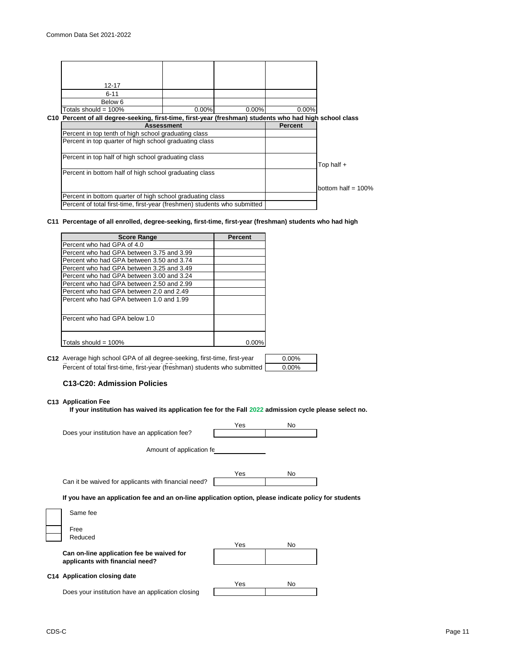high school class rank: the class rank: the class rank: the class rank: the class rank: the class rank: the cla

| $12 - 17$                                                                                               |                   |          |                |                       |
|---------------------------------------------------------------------------------------------------------|-------------------|----------|----------------|-----------------------|
| $6 - 11$                                                                                                |                   |          |                |                       |
| Below 6                                                                                                 |                   |          |                |                       |
| Totals should = $100\%$                                                                                 | $0.00\%$          | $0.00\%$ | 0.00%          |                       |
| C10 Percent of all degree-seeking, first-time, first-year (freshman) students who had high school class |                   |          |                |                       |
|                                                                                                         | <b>Assessment</b> |          | <b>Percent</b> |                       |
| Percent in top tenth of high school graduating class                                                    |                   |          |                |                       |
| Percent in top quarter of high school graduating class                                                  |                   |          |                |                       |
| Percent in top half of high school graduating class                                                     |                   |          |                | Top half $+$          |
| Percent in bottom half of high school graduating class                                                  |                   |          |                |                       |
|                                                                                                         |                   |          |                | bottom half = $100\%$ |
| Percent in bottom quarter of high school graduating class                                               |                   |          |                |                       |
| Percent of total first-time, first-year (freshmen) students who submitted                               |                   |          |                |                       |

**C11 Percentage of all enrolled, degree-seeking, first-time, first-year (freshman) students who had high** 

| <b>Score Range</b>                        | <b>Percent</b> |
|-------------------------------------------|----------------|
| Percent who had GPA of 4.0                |                |
| Percent who had GPA between 3.75 and 3.99 |                |
| Percent who had GPA between 3.50 and 3.74 |                |
| Percent who had GPA between 3.25 and 3.49 |                |
| Percent who had GPA between 3.00 and 3.24 |                |
| Percent who had GPA between 2.50 and 2.99 |                |
| Percent who had GPA between 2.0 and 2.49  |                |
| Percent who had GPA between 1.0 and 1.99  |                |
| Percent who had GPA below 1.0             |                |
| Totals should = $100\%$                   |                |

| C12 Average high school GPA of all degree-seeking, first-time, first-year | $0.00\%$ |
|---------------------------------------------------------------------------|----------|
| Percent of total first-time, first-year (freshman) students who submitted | 0.00%    |

# **C13-C20: Admission Policies**

# **C13 Application Fee**

**If your institution has waived its application fee for the Fall 2022 admission cycle please select no.**

|                                                                                                       | Yes | No  |  |
|-------------------------------------------------------------------------------------------------------|-----|-----|--|
| Does your institution have an application fee?                                                        |     |     |  |
| Amount of application fe                                                                              |     |     |  |
|                                                                                                       | Yes | No. |  |
| Can it be waived for applicants with financial need?                                                  |     |     |  |
| If you have an application fee and an on-line application option, please indicate policy for students |     |     |  |
| Same fee                                                                                              |     |     |  |
| Free                                                                                                  |     |     |  |
| Reduced                                                                                               |     |     |  |
|                                                                                                       | Yes | No  |  |
| Can on-line application fee be waived for<br>applicants with financial need?                          |     |     |  |
| C14 Application closing date                                                                          | Yes | No  |  |
| Does your institution have an application closing                                                     |     |     |  |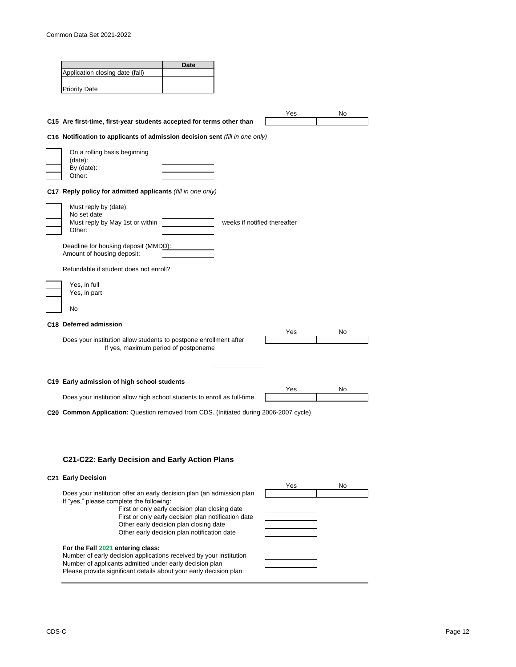|                                                                                                                               | Date                                                                                          |                              |     |
|-------------------------------------------------------------------------------------------------------------------------------|-----------------------------------------------------------------------------------------------|------------------------------|-----|
| Application closing date (fall)                                                                                               |                                                                                               |                              |     |
| <b>Priority Date</b>                                                                                                          |                                                                                               |                              |     |
|                                                                                                                               |                                                                                               |                              |     |
| C15 Are first-time, first-year students accepted for terms other than                                                         |                                                                                               | Yes                          | No. |
| C16 Notification to applicants of admission decision sent (fill in one only)                                                  |                                                                                               |                              |     |
| On a rolling basis beginning                                                                                                  |                                                                                               |                              |     |
| (date):                                                                                                                       |                                                                                               |                              |     |
| By (date):<br>Other:                                                                                                          |                                                                                               |                              |     |
| C17 Reply policy for admitted applicants (fill in one only)                                                                   |                                                                                               |                              |     |
| Must reply by (date):                                                                                                         |                                                                                               |                              |     |
| No set date<br>Must reply by May 1st or within                                                                                |                                                                                               | weeks if notified thereafter |     |
| Other:                                                                                                                        |                                                                                               |                              |     |
| Deadline for housing deposit (MMDD):<br>Amount of housing deposit:                                                            |                                                                                               |                              |     |
| Refundable if student does not enroll?                                                                                        |                                                                                               |                              |     |
| Yes, in full                                                                                                                  |                                                                                               |                              |     |
| Yes, in part                                                                                                                  |                                                                                               |                              |     |
| No                                                                                                                            |                                                                                               |                              |     |
| C18 Deferred admission                                                                                                        |                                                                                               | Yes                          | No  |
| Does your institution allow students to postpone enrollment after                                                             |                                                                                               |                              |     |
| If yes, maximum period of postponeme                                                                                          |                                                                                               |                              |     |
|                                                                                                                               |                                                                                               |                              |     |
| C19 Early admission of high school students                                                                                   |                                                                                               | Yes                          | No. |
| Does your institution allow high school students to enroll as full-time,                                                      |                                                                                               |                              |     |
| C20 Common Application: Question removed from CDS. (Initiated during 2006-2007 cycle)                                         |                                                                                               |                              |     |
|                                                                                                                               |                                                                                               |                              |     |
|                                                                                                                               |                                                                                               |                              |     |
| C21-C22: Early Decision and Early Action Plans                                                                                |                                                                                               |                              |     |
|                                                                                                                               |                                                                                               |                              |     |
| C21 Early Decision                                                                                                            |                                                                                               | Yes                          | No. |
| Does your institution offer an early decision plan (an admission plan<br>If "yes," please complete the following:             |                                                                                               |                              |     |
|                                                                                                                               | First or only early decision plan closing date                                                |                              |     |
|                                                                                                                               | First or only early decision plan notification date<br>Other early decision plan closing date |                              |     |
|                                                                                                                               | Other early decision plan notification date                                                   |                              |     |
| For the Fall 2021 entering class:<br>Number of early decision applications received by your institution                       |                                                                                               |                              |     |
| Number of applicants admitted under early decision plan<br>Please provide significant details about your early decision plan: |                                                                                               |                              |     |
|                                                                                                                               |                                                                                               |                              |     |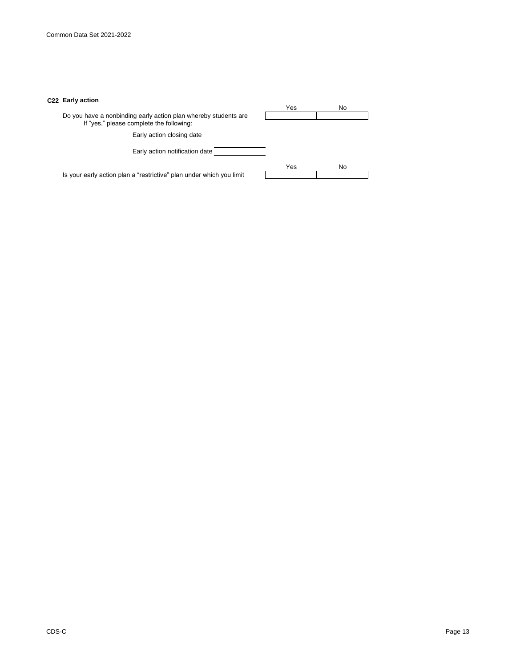# **C22 Early action**

|                                                                                                             | Yes | No |
|-------------------------------------------------------------------------------------------------------------|-----|----|
| Do you have a nonbinding early action plan whereby students are<br>If "yes," please complete the following: |     |    |
| Early action closing date                                                                                   |     |    |
| Early action notification date                                                                              |     |    |
|                                                                                                             | Yes | No |
| Is your early action plan a "restrictive" plan under which you limit                                        |     |    |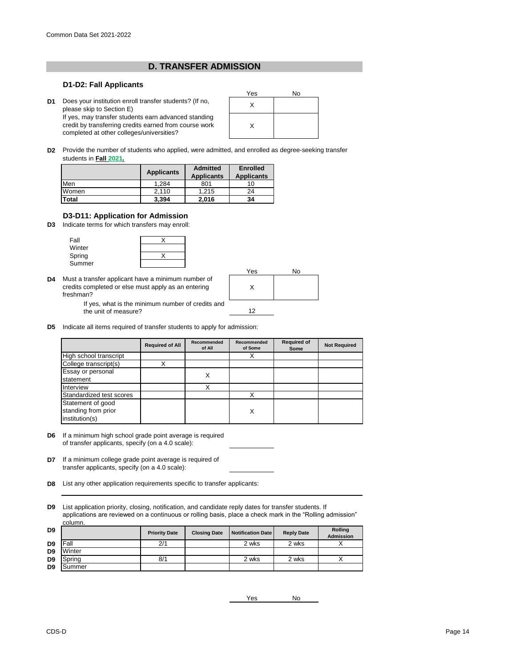# **D. TRANSFER ADMISSION**

# **D1-D2: Fall Applicants**

**D1** Does your institution enroll transfer students? (If no,<br>
places olin to Section F) please skip to Section E) If yes, may transfer students earn advanced standing credit by transferring credits earned from course work completed at other colleges/universities?



**D2** Provide the number of students who applied, were admitted, and enrolled as degree-seeking transfer students in **Fall 2021.**

|              | <b>Applicants</b> | <b>Admitted</b><br><b>Applicants</b> | <b>Enrolled</b><br><b>Applicants</b> |
|--------------|-------------------|--------------------------------------|--------------------------------------|
| Men          | 1.284             | 801                                  |                                      |
| Women        | 2.110             | 1.215                                | 24                                   |
| <b>Total</b> | 3.394             | 2,016                                | 34                                   |

# **D3-D11: Application for Admission**

**D3** Indicate terms for which transfers may enroll:

| Fall   |  |
|--------|--|
| Winter |  |
| Spring |  |
| Summer |  |

the unit of measure?

**D4** Must a transfer applicant have a minimum number of If yes, what is the minimum number of credits and credits completed or else must apply as an entering freshman?



**D5** Indicate all items required of transfer students to apply for admission:

|                          | <b>Required of All</b> | <b>Recommended</b><br>of All | Recommended<br>of Some | <b>Required of</b><br>Some | <b>Not Required</b> |
|--------------------------|------------------------|------------------------------|------------------------|----------------------------|---------------------|
| High school transcript   |                        |                              |                        |                            |                     |
| College transcript(s)    |                        |                              |                        |                            |                     |
| Essay or personal        |                        | X                            |                        |                            |                     |
| statement                |                        |                              |                        |                            |                     |
| Interview                |                        | X                            |                        |                            |                     |
| Standardized test scores |                        |                              |                        |                            |                     |
| Statement of good        |                        |                              |                        |                            |                     |
| standing from prior      |                        |                              | Χ                      |                            |                     |
| institution(s)           |                        |                              |                        |                            |                     |

- **D6** If a minimum high school grade point average is required of transfer applicants, specify (on a 4.0 scale):
- **D7** If a minimum college grade point average is required of transfer applicants, specify (on a 4.0 scale):
- **D8** List any other application requirements specific to transfer applicants:

**D9** List application priority, closing, notification, and candidate reply dates for transfer students. If applications are reviewed on a continuous or rolling basis, place a check mark in the "Rolling admission" column.

| D <sub>9</sub> |        | <b>Priority Date</b> | <b>Closing Date</b> | <b>Notification Date</b> | <b>Reply Date</b> | <b>Rolling</b><br><b>Admission</b> |
|----------------|--------|----------------------|---------------------|--------------------------|-------------------|------------------------------------|
| D <sub>9</sub> | Fall   | 2/1                  |                     | 2 wks                    | 2 wks             |                                    |
| D <sub>9</sub> | Winter |                      |                     |                          |                   |                                    |
| D <sub>9</sub> | Spring | 8/1                  |                     | 2 wks                    | 2 wks             |                                    |
| D <sub>9</sub> | Summer |                      |                     |                          |                   |                                    |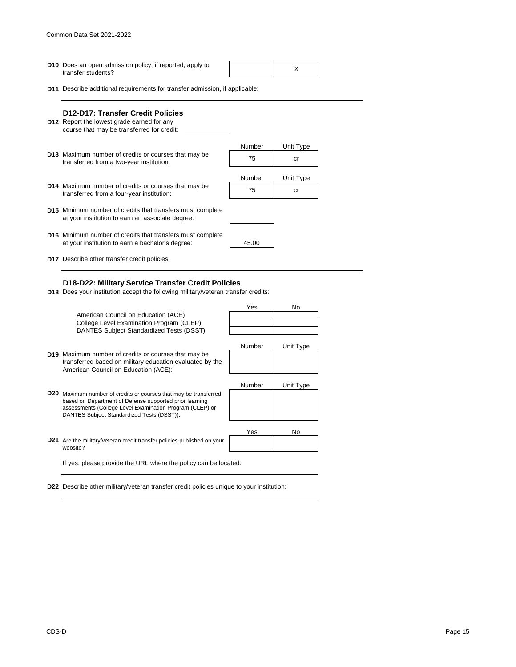**D10** Does an open admission policy, if reported, apply to  $\begin{array}{c} \begin{array}{c} \begin{array}{c} \end{array} \\ \begin{array}{c} \end{array} \\ \begin{array}{c} \end{array} \\ \begin{array}{c} \end{array} \end{array}$ transfer students?

**D11** Describe additional requirements for transfer admission, if applicable:

| D12-D17: Transfer Credit Policies<br><b>D12</b> Report the lowest grade earned for any<br>course that may be transferred for credit: |        |           |
|--------------------------------------------------------------------------------------------------------------------------------------|--------|-----------|
|                                                                                                                                      | Number | Unit Type |
| <b>D13</b> Maximum number of credits or courses that may be<br>transferred from a two-year institution:                              | 75     | cr        |
|                                                                                                                                      | Number | Unit Type |
| D14 Maximum number of credits or courses that may be<br>transferred from a four-year institution:                                    | 75     | cr        |
| <b>D15</b> Minimum number of credits that transfers must complete<br>at your institution to earn an associate degree:                |        |           |
| <b>D16</b> Minimum number of credits that transfers must complete<br>at your institution to earn a bachelor's degree:                | 45.00  |           |
| <b>D17</b> Describe other transfer credit policies:                                                                                  |        |           |

# **D18-D22: Military Service Transfer Credit Policies**

**D18** Does your institution accept the following military/veteran transfer credits:



**D22** Describe other military/veteran transfer credit policies unique to your institution: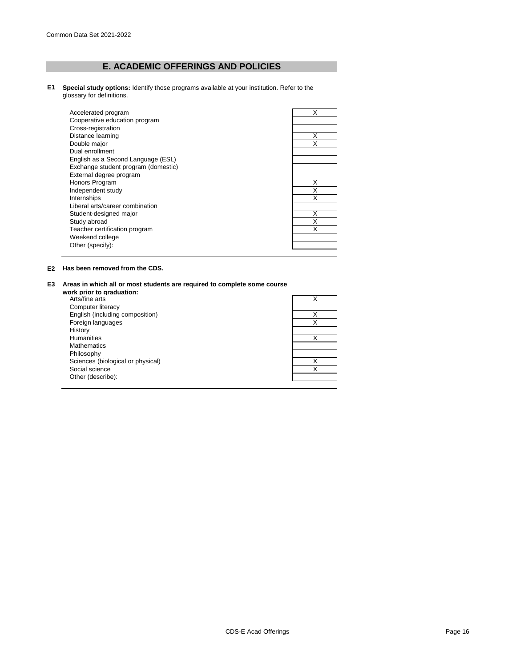# **E. ACADEMIC OFFERINGS AND POLICIES**

**E1 Special study options:** Identify those programs available at your institution. Refer to the glossary for definitions.

| Accelerated program                 | x |
|-------------------------------------|---|
| Cooperative education program       |   |
| Cross-registration                  |   |
| Distance learning                   | Χ |
| Double major                        |   |
| Dual enrollment                     |   |
| English as a Second Language (ESL)  |   |
| Exchange student program (domestic) |   |
| External degree program             |   |
| Honors Program                      | X |
| Independent study                   | Χ |
| Internships                         |   |
| Liberal arts/career combination     |   |
| Student-designed major              | X |
| Study abroad                        |   |
| Teacher certification program       |   |
| Weekend college                     |   |
| Other (specify):                    |   |
|                                     |   |

# **E2 Has been removed from the CDS.**

### **E3 Areas in which all or most students are required to complete some course**

| work prior to graduation:         |   |
|-----------------------------------|---|
| Arts/fine arts                    |   |
| Computer literacy                 |   |
| English (including composition)   |   |
| Foreign languages                 |   |
| History                           |   |
| <b>Humanities</b>                 |   |
| <b>Mathematics</b>                |   |
| Philosophy                        |   |
| Sciences (biological or physical) |   |
| Social science                    | X |
| Other (describe):                 |   |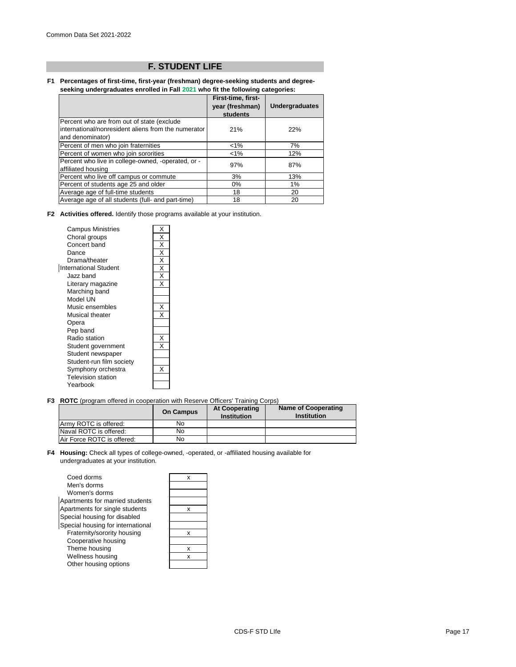# **F. STUDENT LIFE**

#### **F1 Percentages of first-time, first-year (freshman) degree-seeking students and degreeseeking undergraduates enrolled in Fall 2021 who fit the following categories:**

|                                                                                                                        | First-time, first-<br>year (freshman)<br>students | <b>Undergraduates</b> |
|------------------------------------------------------------------------------------------------------------------------|---------------------------------------------------|-----------------------|
| Percent who are from out of state (exclude)<br>international/nonresident aliens from the numerator<br>and denominator) | 21%                                               | 22%                   |
| Percent of men who join fraternities                                                                                   | $1\%$                                             | 7%                    |
| Percent of women who join sororities                                                                                   | $< 1\%$                                           | 12%                   |
| Percent who live in college-owned, -operated, or -<br>affiliated housing                                               | 97%                                               | 87%                   |
| Percent who live off campus or commute                                                                                 | 3%                                                | 13%                   |
| Percent of students age 25 and older                                                                                   | $0\%$                                             | 1%                    |
| Average age of full-time students                                                                                      | 18                                                | 20                    |
| Average age of all students (full- and part-time)                                                                      | 18                                                | 20                    |

**F2 Activities offered.** Identify those programs available at your institution.

| <b>Campus Ministries</b>  | Χ |
|---------------------------|---|
| Choral groups             | X |
| Concert band              | X |
| Dance                     | Χ |
| Drama/theater             | X |
| International Student     | Χ |
| Jazz band                 | X |
| Literary magazine         | X |
| Marching band             |   |
| Model UN                  |   |
| Music ensembles           | X |
| Musical theater           |   |
| Opera                     |   |
| Pep band                  |   |
| Radio station             | X |
| Student government        |   |
| Student newspaper         |   |
| Student-run film society  |   |
| Symphony orchestra        |   |
| <b>Television station</b> |   |
| Yearbook                  |   |

**F3 ROTC** (program offered in cooperation with Reserve Officers' Training Corps)

|                            | <b>On Campus</b> | <b>At Cooperating</b><br><b>Institution</b> | <b>Name of Cooperating</b><br><b>Institution</b> |
|----------------------------|------------------|---------------------------------------------|--------------------------------------------------|
| Army ROTC is offered:      | No               |                                             |                                                  |
| Naval ROTC is offered:     | No               |                                             |                                                  |
| Air Force ROTC is offered: | No               |                                             |                                                  |

**F4 Housing:** Check all types of college-owned, -operated, or -affiliated housing available for undergraduates at your institution.

| Coed dorms                        |   |
|-----------------------------------|---|
| Men's dorms                       |   |
| Women's dorms                     |   |
| Apartments for married students   |   |
| Apartments for single students    | x |
| Special housing for disabled      |   |
| Special housing for international |   |
| Fraternity/sorority housing       | x |
| Cooperative housing               |   |
| Theme housing                     | x |
| Wellness housing                  | x |
| Other housing options             |   |
|                                   |   |

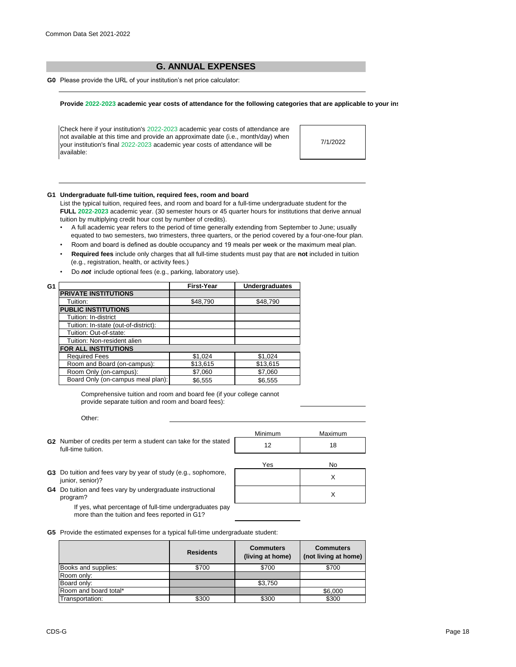# **G. ANNUAL EXPENSES**

**G0** Please provide the URL of your institution's net price calculator:

#### Provide 2022-2023 academic year costs of attendance for the following categories that are applicable to your ins

Check here if your institution's 2022-2023 academic year costs of attendance are not available at this time and provide an approximate date (i.e., month/day) when your institution's final 2022-2023 academic year costs of attendance will be available:

7/1/2022

#### **G1 Undergraduate full-time tuition, required fees, room and board**

List the typical tuition, required fees, and room and board for a full-time undergraduate student for the **FULL 2022-2023** academic year. (30 semester hours or 45 quarter hours for institutions that derive annual tuition by multiplying credit hour cost by number of credits).

- •A full academic year refers to the period of time generally extending from September to June; usually equated to two semesters, two trimesters, three quarters, or the period covered by a four-one-four plan.
- Room and board is defined as double occupancy and 19 meals per week or the maximum meal plan.
- • **Required fees** include only charges that all full-time students must pay that are **not** included in tuition (e.g., registration, health, or activity fees.)
- Do *not* include optional fees (e.g., parking, laboratory use).

| G1 |                                      | <b>First-Year</b> | <b>Undergraduates</b> |
|----|--------------------------------------|-------------------|-----------------------|
|    | <b>PRIVATE INSTITUTIONS</b>          |                   |                       |
|    | Tuition:                             | \$48,790          | \$48,790              |
|    | <b>PUBLIC INSTITUTIONS</b>           |                   |                       |
|    | Tuition: In-district                 |                   |                       |
|    | Tuition: In-state (out-of-district): |                   |                       |
|    | Tuition: Out-of-state:               |                   |                       |
|    | Tuition: Non-resident alien          |                   |                       |
|    | <b>FOR ALL INSTITUTIONS</b>          |                   |                       |
|    | <b>Required Fees</b>                 | \$1,024           | \$1,024               |
|    | Room and Board (on-campus):          | \$13,615          | \$13,615              |
|    | Room Only (on-campus):               | \$7,060           | \$7,060               |
|    | Board Only (on-campus meal plan):    | \$6,555           | \$6,555               |
|    |                                      |                   |                       |

Comprehensive tuition and room and board fee (if your college cannot provide separate tuition and room and board fees):

Other:

|                                                                                       | <b>Minimum</b> | Maximum |
|---------------------------------------------------------------------------------------|----------------|---------|
| G2 Number of credits per term a student can take for the stated<br>full-time tuition. | 12             | 18      |
|                                                                                       | Yes            | No      |
| G3 Do tuition and fees vary by year of study (e.g., sophomore,<br>junior, senior)?    |                |         |

G4 Do tuition and fees vary by undergraduate instructional and the state of the state of the state of the state of the state of the state of the state of the state of the state of the state of the state of the state of the program?

If yes, what percentage of full-time undergraduates pay more than the tuition and fees reported in G1?

**G5** Provide the estimated expenses for a typical full-time undergraduate student:

|                       | <b>Residents</b> | <b>Commuters</b><br>(living at home) | <b>Commuters</b><br>(not living at home) |
|-----------------------|------------------|--------------------------------------|------------------------------------------|
| Books and supplies:   | \$700            | \$700                                | \$700                                    |
| Room only:            |                  |                                      |                                          |
| Board only:           |                  | \$3,750                              |                                          |
| Room and board total* |                  |                                      | \$6,000                                  |
| Transportation:       | \$300            | \$300                                | \$300                                    |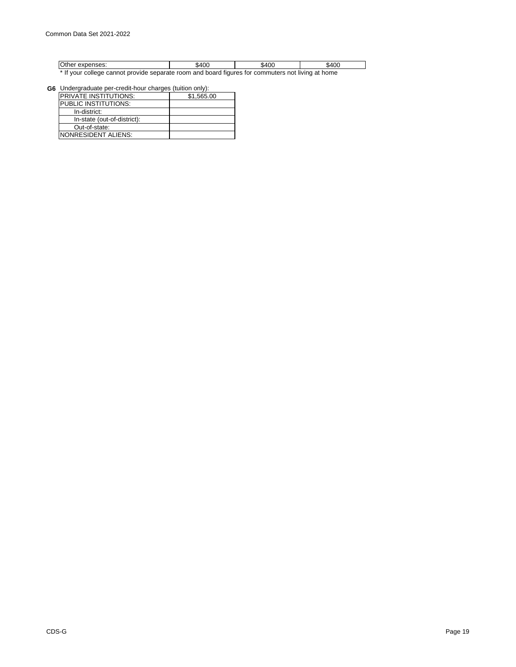| $\sim$<br><u>uunaaa</u> .<br>$-1$                                                                                     |  | 400<br>'^ה. | юс<br>'4ه. |  |
|-----------------------------------------------------------------------------------------------------------------------|--|-------------|------------|--|
| . It cannot a literate and an anti-service and an and an and the service of the service of the service of the service |  |             |            |  |

\* If your college cannot provide separate room and board figures for commuters not living at home

**G6** Undergraduate per-credit-hour charges (tuition only):

| <b>PRIVATE INSTITUTIONS:</b> | \$1.565.00 |
|------------------------------|------------|
| PUBLIC INSTITUTIONS:         |            |
| In-district:                 |            |
| In-state (out-of-district):  |            |
| Out-of-state:                |            |
| NONRESIDENT ALIENS:          |            |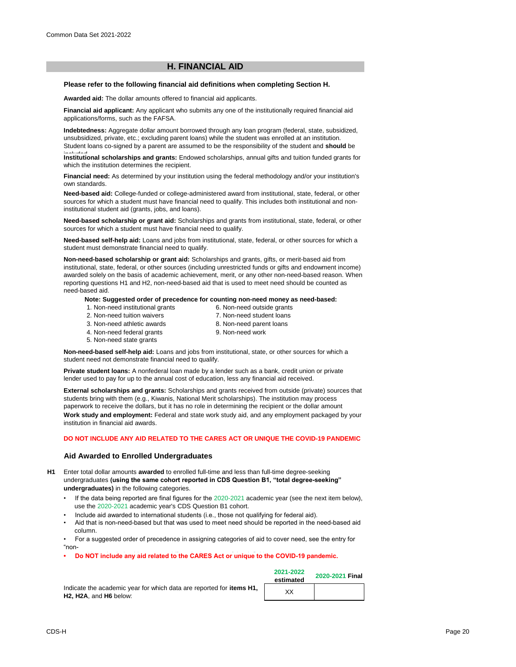# **H. FINANCIAL AID**

#### **Please refer to the following financial aid definitions when completing Section H.**

**Awarded aid:** The dollar amounts offered to financial aid applicants.

**Financial aid applicant:** Any applicant who submits any one of the institutionally required financial aid applications/forms, such as the FAFSA.

**Indebtedness:** Aggregate dollar amount borrowed through any loan program (federal, state, subsidized, unsubsidized, private, etc.; excluding parent loans) while the student was enrolled at an institution. Student loans co-signed by a parent are assumed to be the responsibility of the student and **should** be

Institutional scholarships and grants: Endowed scholarships, annual gifts and tuition funded grants for which the institution determines the recipient.

**Financial need:** As determined by your institution using the federal methodology and/or your institution's own standards.

**Need-based aid:** College-funded or college-administered award from institutional, state, federal, or other sources for which a student must have financial need to qualify. This includes both institutional and noninstitutional student aid (grants, jobs, and loans).

**Need-based scholarship or grant aid:** Scholarships and grants from institutional, state, federal, or other sources for which a student must have financial need to qualify.

**Need-based self-help aid:** Loans and jobs from institutional, state, federal, or other sources for which a student must demonstrate financial need to qualify.

**Non-need-based scholarship or grant aid:** Scholarships and grants, gifts, or merit-based aid from institutional, state, federal, or other sources (including unrestricted funds or gifts and endowment income) awarded solely on the basis of academic achievement, merit, or any other non-need-based reason. When reporting questions H1 and H2, non-need-based aid that is used to meet need should be counted as need-based aid.

#### **Note: Suggested order of precedence for counting non-need money as need-based:**

- 1. Non-need institutional grants
- 6. Non-need outside grants 7. Non-need student loans
- 2. Non-need tuition waivers 3. Non-need athletic awards
- 8. Non-need parent loans
- 4. Non-need federal grants
- 9. Non-need work
- 5. Non-need state grants

**Non-need-based self-help aid:** Loans and jobs from institutional, state, or other sources for which a student need not demonstrate financial need to qualify.

**Private student loans:** A nonfederal loan made by a lender such as a bank, credit union or private lender used to pay for up to the annual cost of education, less any financial aid received.

**External scholarships and grants:** Scholarships and grants received from outside (private) sources that students bring with them (e.g., Kiwanis, National Merit scholarships). The institution may process paperwork to receive the dollars, but it has no role in determining the recipient or the dollar amount **Work study and employment:** Federal and state work study aid, and any employment packaged by your institution in financial aid awards.

#### **DO NOT INCLUDE ANY AID RELATED TO THE CARES ACT OR UNIQUE THE COVID-19 PANDEMIC**

# **Aid Awarded to Enrolled Undergraduates**

**H1** Enter total dollar amounts **awarded** to enrolled full-time and less than full-time degree-seeking undergraduates **(using the same cohort reported in CDS Question B1, "total degree-seeking" undergraduates)** in the following categories.

- If the data being reported are final figures for the 2020-2021 academic year (see the next item below), use the 2020-2021 academic year's CDS Question B1 cohort.
- Include aid awarded to international students (i.e., those not qualifying for federal aid).
- Aid that is non-need-based but that was used to meet need should be reported in the need-based aid column.

• For a suggested order of precedence in assigning categories of aid to cover need, see the entry for "non-

Do NOT include any aid related to the CARES Act or unique to the COVID-19 pandemic.

Indicate the academic year for which data are reported for **items H1, H2, H2A**, and **H6** below:

| 2021-2022<br>estimated | 2020-2021 Final |
|------------------------|-----------------|
| xх                     |                 |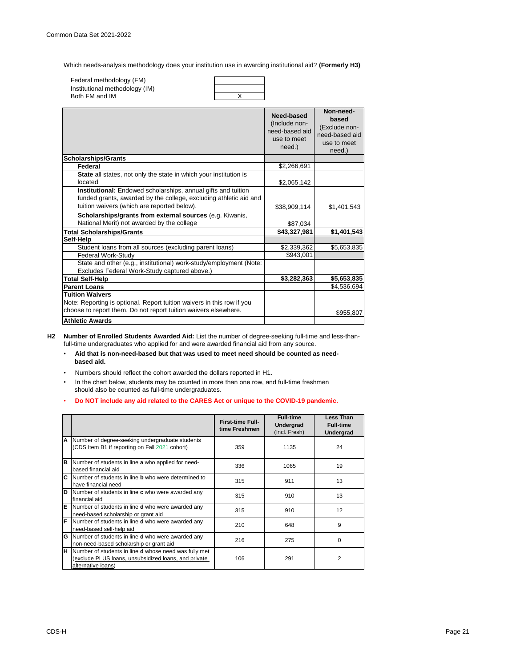Which needs-analysis methodology does your institution use in awarding institutional aid? **(Formerly H3)**

| Federal methodology (FM)       |  |
|--------------------------------|--|
| Institutional methodology (IM) |  |
| Both FM and IM                 |  |

|                                                                                                                                                                                   | Need-based<br>(Include non-<br>need-based aid<br>use to meet<br>need.) | Non-need-<br>based<br>(Exclude non-<br>need-based aid<br>use to meet<br>need.) |
|-----------------------------------------------------------------------------------------------------------------------------------------------------------------------------------|------------------------------------------------------------------------|--------------------------------------------------------------------------------|
| <b>Scholarships/Grants</b>                                                                                                                                                        |                                                                        |                                                                                |
| Federal                                                                                                                                                                           | \$2,266,691                                                            |                                                                                |
| State all states, not only the state in which your institution is<br>located                                                                                                      | \$2,065,142                                                            |                                                                                |
| Institutional: Endowed scholarships, annual gifts and tuition<br>funded grants, awarded by the college, excluding athletic aid and<br>tuition waivers (which are reported below). | \$38,909,114                                                           | \$1,401,543                                                                    |
| Scholarships/grants from external sources (e.g. Kiwanis,<br>National Merit) not awarded by the college                                                                            | \$87,034                                                               |                                                                                |
| <b>Total Scholarships/Grants</b>                                                                                                                                                  | \$43,327,981                                                           | \$1,401,543                                                                    |
| Self-Help                                                                                                                                                                         |                                                                        |                                                                                |
| Student loans from all sources (excluding parent loans)                                                                                                                           | \$2,339,362                                                            | \$5,653,835                                                                    |
| Federal Work-Study                                                                                                                                                                | \$943,001                                                              |                                                                                |
| State and other (e.g., institutional) work-study/employment (Note:<br>Excludes Federal Work-Study captured above.)                                                                |                                                                        |                                                                                |
| <b>Total Self-Help</b>                                                                                                                                                            | \$3,282,363                                                            | \$5,653,835                                                                    |
| <b>Parent Loans</b>                                                                                                                                                               |                                                                        | \$4,536,694                                                                    |
| <b>Tuition Waivers</b><br>Note: Reporting is optional. Report tuition waivers in this row if you<br>choose to report them. Do not report tuition waivers elsewhere.               |                                                                        | \$955,807                                                                      |
| <b>Athletic Awards</b>                                                                                                                                                            |                                                                        |                                                                                |

**H2 Number of Enrolled Students Awarded Aid:** List the number of degree-seeking full-time and less-thanfull-time undergraduates who applied for and were awarded financial aid from any source.

- • **Aid that is non-need-based but that was used to meet need should be counted as need based aid.**
- Numbers should reflect the cohort awarded the dollars reported in H1.
- In the chart below, students may be counted in more than one row, and full-time freshmen should also be counted as full-time undergraduates.
- • **Do NOT include any aid related to the CARES Act or unique to the COVID-19 pandemic.**

|   |                                                                                                                                            | <b>First-time Full-</b><br>time Freshmen | <b>Full-time</b><br><b>Undergrad</b><br>(Incl. Fresh) | <b>Less Than</b><br><b>Full-time</b><br><b>Undergrad</b> |
|---|--------------------------------------------------------------------------------------------------------------------------------------------|------------------------------------------|-------------------------------------------------------|----------------------------------------------------------|
| A | Number of degree-seeking undergraduate students<br>(CDS Item B1 if reporting on Fall 2021 cohort)                                          | 359                                      | 1135                                                  | 24                                                       |
| B | Number of students in line a who applied for need-<br>based financial aid                                                                  | 336                                      | 1065                                                  | 19                                                       |
|   | C Number of students in line <b>b</b> who were determined to<br>have financial need                                                        | 315                                      | 911                                                   | 13                                                       |
| D | Number of students in line c who were awarded any<br>financial aid                                                                         | 315                                      | 910                                                   | 13                                                       |
| E | Number of students in line <b>d</b> who were awarded any<br>need-based scholarship or grant aid                                            | 315                                      | 910                                                   | 12                                                       |
| F | Number of students in line <b>d</b> who were awarded any<br>need-based self-help aid                                                       | 210                                      | 648                                                   | 9                                                        |
| G | Number of students in line <b>d</b> who were awarded any<br>non-need-based scholarship or grant aid                                        | 216                                      | 275                                                   | $\Omega$                                                 |
| H | Number of students in line <b>d</b> whose need was fully met<br>(exclude PLUS loans, unsubsidized loans, and private<br>alternative loans) | 106                                      | 291                                                   | 2                                                        |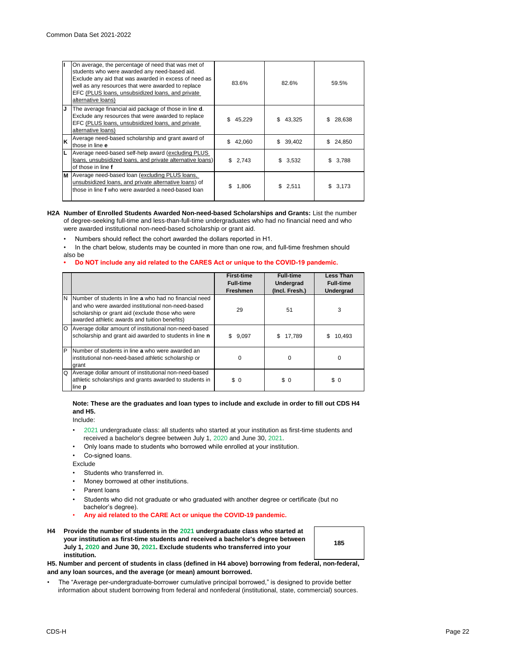|    | On average, the percentage of need that was met of<br>students who were awarded any need-based aid.<br>Exclude any aid that was awarded in excess of need as<br>well as any resources that were awarded to replace<br>EFC (PLUS loans, unsubsidized loans, and private<br>alternative loans) | 83.6%        | 82.6%        | 59.5%        |
|----|----------------------------------------------------------------------------------------------------------------------------------------------------------------------------------------------------------------------------------------------------------------------------------------------|--------------|--------------|--------------|
| IJ | The average financial aid package of those in line <b>d</b> .<br>Exclude any resources that were awarded to replace<br>EFC (PLUS loans, unsubsidized loans, and private<br>alternative loans)                                                                                                | \$<br>45,229 | \$<br>43,325 | 28,638       |
| Ιĸ | Average need-based scholarship and grant award of<br>those in line e                                                                                                                                                                                                                         | \$<br>42,060 | \$39,402     | \$24,850     |
| L  | Average need-based self-help award (excluding PLUS<br>loans, unsubsidized loans, and private alternative loans)<br>of those in line f                                                                                                                                                        | \$2,743      | \$3,532      | 3,788<br>\$. |
| M  | Average need-based loan (excluding PLUS loans,<br>unsubsidized loans, and private alternative loans) of<br>those in line f who were awarded a need-based loan                                                                                                                                | 1,806        | \$2,511      | 3.173        |

#### **H2A Number of Enrolled Students Awarded Non-need-based Scholarships and Grants:** List the number of degree-seeking full-time and less-than-full-time undergraduates who had no financial need and who were awarded institutional non-need-based scholarship or grant aid.

- Numbers should reflect the cohort awarded the dollars reported in H1.
- In the chart below, students may be counted in more than one row, and full-time freshmen should also be

#### **• Do NOT include any aid related to the CARES Act or unique to the COVID-19 pandemic.**

|    |                                                                                                                                                                                                                  | <b>First-time</b><br><b>Full-time</b><br><b>Freshmen</b> | <b>Full-time</b><br>Undergrad<br>(Incl. Fresh.) | <b>Less Than</b><br><b>Full-time</b><br><b>Undergrad</b> |
|----|------------------------------------------------------------------------------------------------------------------------------------------------------------------------------------------------------------------|----------------------------------------------------------|-------------------------------------------------|----------------------------------------------------------|
| N. | Number of students in line a who had no financial need<br>and who were awarded institutional non-need-based<br>scholarship or grant aid (exclude those who were<br>awarded athletic awards and tuition benefits) | 29                                                       | 51                                              | 3                                                        |
|    | O Average dollar amount of institutional non-need-based<br>scholarship and grant aid awarded to students in line n                                                                                               | \$<br>9,097                                              | 17.789<br>\$.                                   | S<br>10.493                                              |
| P  | Number of students in line a who were awarded an<br>institutional non-need-based athletic scholarship or<br>grant                                                                                                | O                                                        | $\Omega$                                        | 0                                                        |
| Q  | Average dollar amount of institutional non-need-based<br>athletic scholarships and grants awarded to students in<br>line <b>p</b>                                                                                | \$0                                                      | \$0                                             | \$ 0                                                     |

#### **Note: These are the graduates and loan types to include and exclude in order to fill out CDS H4 and H5.**

Include:

- •2021 undergraduate class: all students who started at your institution as first-time students and received a bachelor's degree between July 1, 2020 and June 30, 2021.
- Only loans made to students who borrowed while enrolled at your institution.
- Co-signed loans.

Exclude

- Students who transferred in.
- Money borrowed at other institutions.
- Parent loans
- Students who did not graduate or who graduated with another degree or certificate (but no bachelor's degree).
- **Any aid related to the CARE Act or unique the COVID-19 pandemic.**
- **H4 Provide the number of students in the 2021 undergraduate class who started at your institution as first-time students and received a bachelor's degree between July 1, 2020 and June 30, 2021. Exclude students who transferred into your institution.**



**H5. Number and percent of students in class (defined in H4 above) borrowing from federal, non-federal, and any loan sources, and the average (or mean) amount borrowed.**

• The "Average per-undergraduate-borrower cumulative principal borrowed," is designed to provide better information about student borrowing from federal and nonfederal (institutional, state, commercial) sources.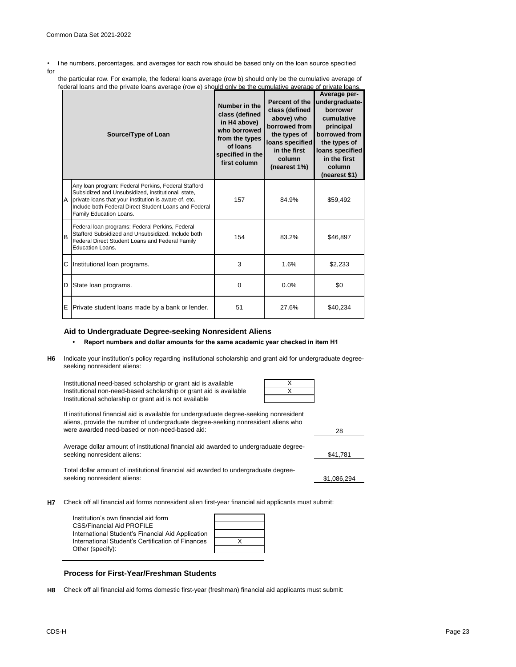• The numbers, percentages, and averages for each row should be based only on the loan source specified

for

 the particular row. For example, the federal loans average (row b) should only be the cumulative average of federal loans and the private loans average (row e) should only be the cumulative average of private loans

| Source/Type of Loan |                                                                                                                                                                                                                                                        | Number in the<br>class (defined<br>in H4 above)<br>who borrowed<br>from the types<br>of loans<br>specified in the<br>first column | Percent of the<br>class (defined<br>above) who<br>borrowed from<br>the types of<br>loans specified<br>in the first<br>column<br>(nearest 1%) | Average per-<br>undergraduate-<br>borrower<br>cumulative<br>principal<br>borrowed from<br>the types of<br>loans specified<br>in the first<br>column<br>(nearest \$1) |
|---------------------|--------------------------------------------------------------------------------------------------------------------------------------------------------------------------------------------------------------------------------------------------------|-----------------------------------------------------------------------------------------------------------------------------------|----------------------------------------------------------------------------------------------------------------------------------------------|----------------------------------------------------------------------------------------------------------------------------------------------------------------------|
| A                   | Any loan program: Federal Perkins, Federal Stafford<br>Subsidized and Unsubsidized, institutional, state,<br>private loans that your institution is aware of, etc.<br>Include both Federal Direct Student Loans and Federal<br>Family Education Loans. | 157                                                                                                                               | 84.9%                                                                                                                                        | \$59,492                                                                                                                                                             |
| B                   | Federal loan programs: Federal Perkins, Federal<br>Stafford Subsidized and Unsubsidized, Include both<br>Federal Direct Student Loans and Federal Family<br>Education Loans.                                                                           | 154                                                                                                                               | 83.2%                                                                                                                                        | \$46,897                                                                                                                                                             |
|                     | C Institutional loan programs.                                                                                                                                                                                                                         | 3                                                                                                                                 | 1.6%                                                                                                                                         | \$2,233                                                                                                                                                              |
| D                   | State loan programs.                                                                                                                                                                                                                                   | $\Omega$                                                                                                                          | 0.0%                                                                                                                                         | \$0                                                                                                                                                                  |
| E                   | Private student loans made by a bank or lender.                                                                                                                                                                                                        | 51                                                                                                                                | 27.6%                                                                                                                                        | \$40,234                                                                                                                                                             |

# **Aid to Undergraduate Degree-seeking Nonresident Aliens**

### **• Report numbers and dollar amounts for the same academic year checked in item H1**

**H6** Indicate your institution's policy regarding institutional scholarship and grant aid for undergraduate degreeseeking nonresident aliens:

| Institutional need-based scholarship or grant aid is available     |  |
|--------------------------------------------------------------------|--|
| Institutional non-need-based scholarship or grant aid is available |  |
| Institutional scholarship or grant aid is not available            |  |

If institutional financial aid is available for undergraduate degree-seeking nonresident aliens, provide the number of undergraduate degree-seeking nonresident aliens who were awarded need-based or non-need-based aid:

Average dollar amount of institutional financial aid awarded to undergraduate degreeseeking nonresident aliens:

Total dollar amount of institutional financial aid awarded to undergraduate degreeseeking nonresident aliens:

\$1,086,294

28

\$41,781

**H7** Check off all financial aid forms nonresident alien first-year financial aid applicants must submit:

| Institution's own financial aid form              |  |
|---------------------------------------------------|--|
| <b>CSS/Financial Aid PROFILE</b>                  |  |
| International Student's Financial Aid Application |  |
| International Student's Certification of Finances |  |
| Other (specify):                                  |  |

# **Process for First-Year/Freshman Students**

**H8** Check off all financial aid forms domestic first-year (freshman) financial aid applicants must submit: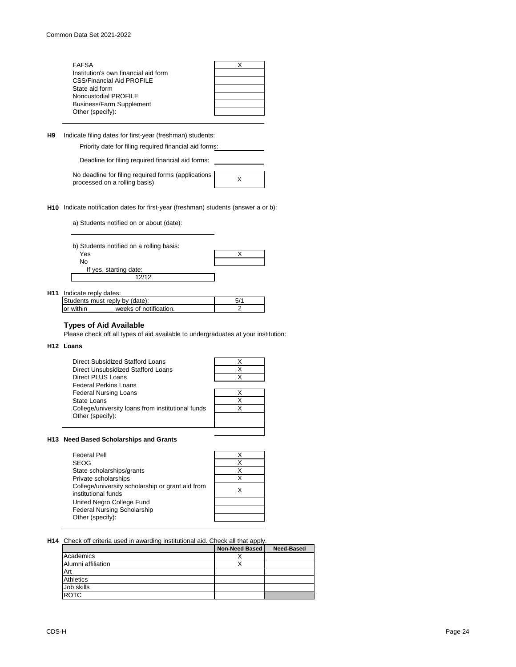| <b>FAFSA</b>                         |  |
|--------------------------------------|--|
| Institution's own financial aid form |  |
| <b>CSS/Financial Aid PROFILE</b>     |  |
| State aid form                       |  |
| Noncustodial PROFILE                 |  |
| <b>Business/Farm Supplement</b>      |  |
| Other (specify):                     |  |

**H9** Indicate filing dates for first-year (freshman) students:

Priority date for filing required financial aid forms:

Deadline for filing required financial aid forms:

No deadline for filing required forms (applications processed on a rolling basis) X

**H10** Indicate notification dates for first-year (freshman) students (answer a or b):

a) Students notified on or about (date):

| b) Students notified on a rolling basis: |  |
|------------------------------------------|--|
| Yes                                      |  |
| No                                       |  |
| If yes, starting date:                   |  |
| 12/12                                    |  |

#### **H11** Indicate reply dates:

| Students must reply by (date):      |  |
|-------------------------------------|--|
| weeks of notification.<br>or within |  |

# **Types of Aid Available**

Please check off all types of aid available to undergraduates at your institution:

#### **H12 Loans**

| Direct Subsidized Stafford Loans<br>Direct Unsubsidized Stafford Loans |  |
|------------------------------------------------------------------------|--|
| Direct PLUS Loans                                                      |  |
| <b>Federal Perkins Loans</b>                                           |  |
| <b>Federal Nursing Loans</b>                                           |  |
| State Loans                                                            |  |
| College/university loans from institutional funds                      |  |
| Other (specify):                                                       |  |
|                                                                        |  |

### **H13 Need Based Scholarships and Grants**

| <b>Federal Pell</b>                              |   |
|--------------------------------------------------|---|
| <b>SEOG</b>                                      |   |
| State scholarships/grants                        | x |
| Private scholarships                             | x |
| College/university scholarship or grant aid from | x |
| institutional funds                              |   |
| United Negro College Fund                        |   |
| <b>Federal Nursing Scholarship</b>               |   |
| Other (specify):                                 |   |
|                                                  |   |

#### **H14** Check off criteria used in awarding institutional aid. Check all that apply.

|                    | <b>Non-Need Based</b> | <b>Need-Based</b> |
|--------------------|-----------------------|-------------------|
| Academics          |                       |                   |
| Alumni affiliation |                       |                   |
| Art                |                       |                   |
| <b>Athletics</b>   |                       |                   |
| Job skills         |                       |                   |
| <b>ROTC</b>        |                       |                   |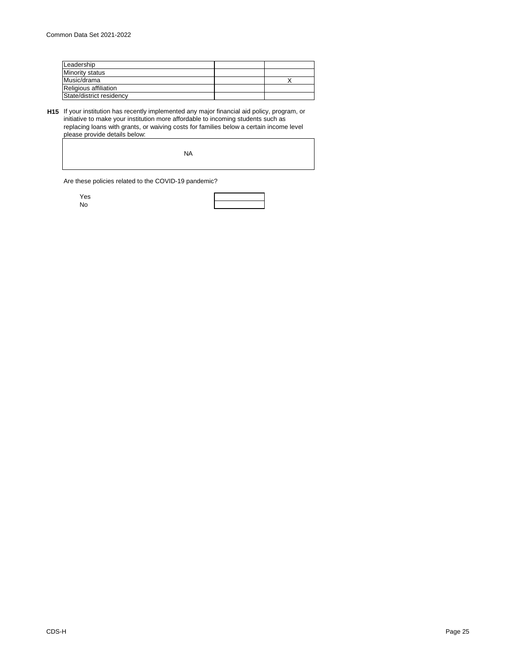| Leadership               |  |
|--------------------------|--|
| Minority status          |  |
| Music/drama              |  |
| Religious affiliation    |  |
| State/district residency |  |

**H15** If your institution has recently implemented any major financial aid policy, program, or initiative to make your institution more affordable to incoming students such as replacing loans with grants, or waiving costs for families below a certain income level please provide details below:

| . |           |  |
|---|-----------|--|
|   |           |  |
|   |           |  |
|   |           |  |
|   |           |  |
|   |           |  |
|   | <b>NA</b> |  |
|   |           |  |
|   |           |  |
|   |           |  |
|   |           |  |
|   |           |  |
|   |           |  |

Are these policies related to the COVID-19 pandemic?

Yes

No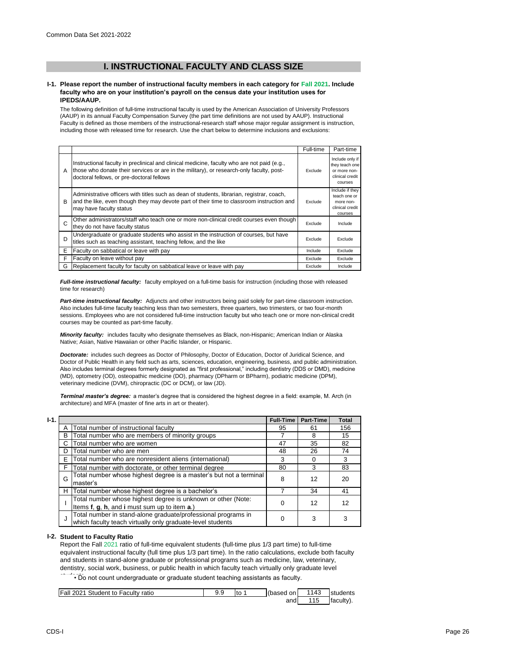# **I. INSTRUCTIONAL FACULTY AND CLASS SIZE**

#### **I-1. Please report the number of instructional faculty members in each category for Fall 2021. Include faculty who are on your institution's payroll on the census date your institution uses for IPEDS/AAUP.**

The following definition of full-time instructional faculty is used by the American Association of University Professors (AAUP) in its annual Faculty Compensation Survey (the part time definitions are not used by AAUP). Instructional Faculty is defined as those members of the instructional-research staff whose major regular assignment is instruction, including those with released time for research. Use the chart below to determine inclusions and exclusions:

|   |                                                                                                                                                                                                                                      | Full-time | Part-time                                                                       |
|---|--------------------------------------------------------------------------------------------------------------------------------------------------------------------------------------------------------------------------------------|-----------|---------------------------------------------------------------------------------|
| A | Instructional faculty in preclinical and clinical medicine, faculty who are not paid (e.g.,<br>those who donate their services or are in the military), or research-only faculty, post-<br>doctoral fellows, or pre-doctoral fellows | Exclude   | Include only if<br>they teach one<br>or more non-<br>clinical credit<br>courses |
| в | Administrative officers with titles such as dean of students, librarian, registrar, coach,<br>and the like, even though they may devote part of their time to classroom instruction and<br>may have faculty status                   | Exclude   | Include if they<br>teach one or<br>more non-<br>clinical credit<br>courses      |
| C | Other administrators/staff who teach one or more non-clinical credit courses even though<br>they do not have faculty status                                                                                                          | Exclude   | Include                                                                         |
| D | Undergraduate or graduate students who assist in the instruction of courses, but have<br>titles such as teaching assistant, teaching fellow, and the like                                                                            | Exclude   | Exclude                                                                         |
| E | Faculty on sabbatical or leave with pay                                                                                                                                                                                              | Include   | Exclude                                                                         |
| F | Faculty on leave without pay                                                                                                                                                                                                         | Exclude   | Exclude                                                                         |
| G | Replacement faculty for faculty on sabbatical leave or leave with pay                                                                                                                                                                | Exclude   | Include                                                                         |

*Full-time instructional faculty:* faculty employed on a full-time basis for instruction (including those with released time for research)

*Part-time instructional faculty:* Adjuncts and other instructors being paid solely for part-time classroom instruction. Also includes full-time faculty teaching less than two semesters, three quarters, two trimesters, or two four-month sessions. Employees who are not considered full-time instruction faculty but who teach one or more non-clinical credit courses may be counted as part-time faculty.

*Minority faculty:* includes faculty who designate themselves as Black, non-Hispanic; American Indian or Alaska Native; Asian, Native Hawaiian or other Pacific Islander, or Hispanic.

*Doctorate:* includes such degrees as Doctor of Philosophy, Doctor of Education, Doctor of Juridical Science, and Doctor of Public Health in any field such as arts, sciences, education, engineering, business, and public administration. Also includes terminal degrees formerly designated as "first professional," including dentistry (DDS or DMD), medicine (MD), optometry (OD), osteopathic medicine (DO), pharmacy (DPharm or BPharm), podiatric medicine (DPM), veterinary medicine (DVM), chiropractic (DC or DCM), or law (JD).

*Terminal master's degree:* a master's degree that is considered the highest degree in a field: example, M. Arch (in architecture) and MFA (master of fine arts in art or theater).

| $I-1.$ |   |                                                                                                                             | <b>Full-Time</b> | Part-Time | <b>Total</b> |
|--------|---|-----------------------------------------------------------------------------------------------------------------------------|------------------|-----------|--------------|
|        | A | Total number of instructional faculty                                                                                       | 95               | 61        | 156          |
|        | B | Total number who are members of minority groups                                                                             |                  | 8         | 15           |
|        | С | Total number who are women                                                                                                  | 47               | 35        | 82           |
|        | D | Total number who are men                                                                                                    | 48               | 26        | 74           |
|        | E | Total number who are nonresident aliens (international)                                                                     | 3                |           | 3            |
|        | F | Total number with doctorate, or other terminal degree                                                                       | 80               | 3         | 83           |
|        | G | Total number whose highest degree is a master's but not a terminal<br>master's                                              |                  | 12        | 20           |
|        | н | Total number whose highest degree is a bachelor's                                                                           |                  | 34        | 41           |
|        |   | Total number whose highest degree is unknown or other (Note:<br>Items f, g, h, and i must sum up to item a.)                | 0                | 12        | 12           |
|        | J | Total number in stand-alone graduate/professional programs in<br>which faculty teach virtually only graduate-level students | 0                | 3         | 3            |

#### **I-2. Student to Faculty Ratio**

Report the Fall 2021 ratio of full-time equivalent students (full-time plus 1/3 part time) to full-time equivalent instructional faculty (full time plus 1/3 part time). In the ratio calculations, exclude both faculty and students in stand-alone graduate or professional programs such as medicine, law, veterinary, dentistry, social work, business, or public health in which faculty teach virtually only graduate level

• Do not count undergraduate or graduate student teaching assistants as faculty.

| Fall 2021 Student to Faculty ratio | J.J | to | (based on | 1143 | <b>Istudents</b> |
|------------------------------------|-----|----|-----------|------|------------------|
|                                    |     |    | and       | 115  | faculty).        |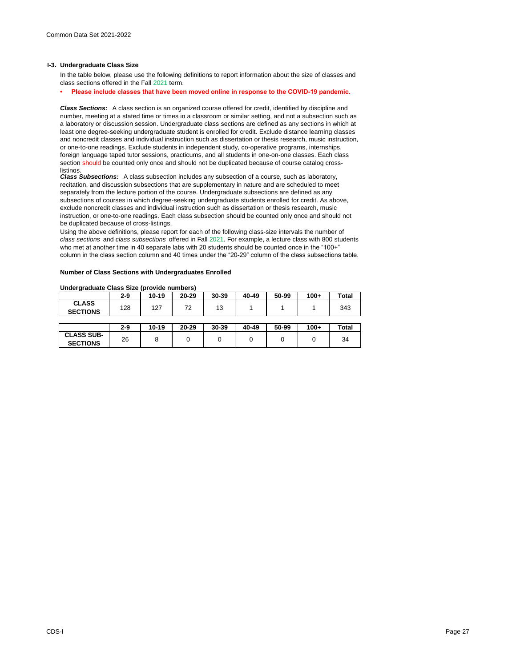#### **I-3. Undergraduate Class Size**

In the table below, please use the following definitions to report information about the size of classes and class sections offered in the Fall 2021 term.

### **• Please include classes that have been moved online in response to the COVID-19 pandemic.**

*Class Sections:* A class section is an organized course offered for credit, identified by discipline and number, meeting at a stated time or times in a classroom or similar setting, and not a subsection such as a laboratory or discussion session. Undergraduate class sections are defined as any sections in which at least one degree-seeking undergraduate student is enrolled for credit. Exclude distance learning classes and noncredit classes and individual instruction such as dissertation or thesis research, music instruction, or one-to-one readings. Exclude students in independent study, co-operative programs, internships, foreign language taped tutor sessions, practicums, and all students in one-on-one classes. Each class section should be counted only once and should not be duplicated because of course catalog crosslistings.

*Class Subsections:* A class subsection includes any subsection of a course, such as laboratory, recitation, and discussion subsections that are supplementary in nature and are scheduled to meet separately from the lecture portion of the course. Undergraduate subsections are defined as any subsections of courses in which degree-seeking undergraduate students enrolled for credit. As above, exclude noncredit classes and individual instruction such as dissertation or thesis research, music instruction, or one-to-one readings. Each class subsection should be counted only once and should not be duplicated because of cross-listings.

Using the above definitions, please report for each of the following class-size intervals the number of *class sections* and *class subsections* offered in Fall 2021. For example, a lecture class with 800 students who met at another time in 40 separate labs with 20 students should be counted once in the "100+" column in the class section column and 40 times under the "20-29" column of the class subsections table.

#### **Number of Class Sections with Undergraduates Enrolled**

#### **Undergraduate Class Size (provide numbers)**

|                                      | 2-9 | $10 - 19$ | 20-29 | 30-39 | 40-49 | 50-99 | $100+$ | Total        |
|--------------------------------------|-----|-----------|-------|-------|-------|-------|--------|--------------|
| <b>CLASS</b><br><b>SECTIONS</b>      | 128 | 127       | 72    | 13    |       |       |        | 343          |
|                                      |     |           |       |       |       |       |        |              |
|                                      | 2-9 | $10 - 19$ | 20-29 | 30-39 | 40-49 | 50-99 | $100+$ | <b>Total</b> |
| <b>CLASS SUB-</b><br><b>SECTIONS</b> | 26  | 8         |       |       |       |       |        | 34           |